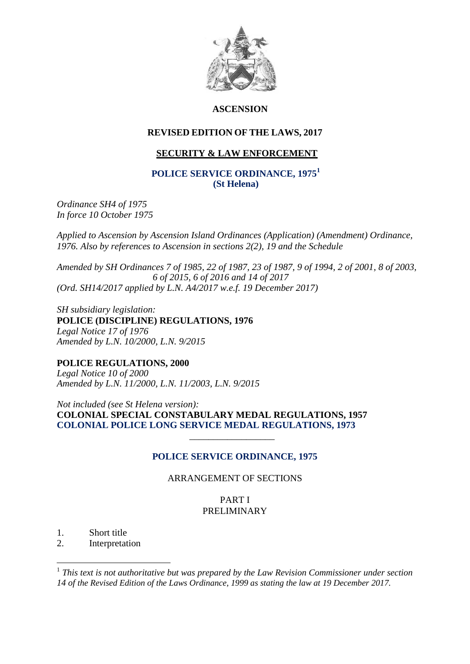

# **ASCENSION**

# **REVISED EDITION OF THE LAWS, 2017**

# **SECURITY & LAW ENFORCEMENT**

## **POLICE SERVICE ORDINANCE, 1975<sup>1</sup> (St Helena)**

*Ordinance SH4 of 1975 In force 10 October 1975*

*Applied to Ascension by Ascension Island Ordinances (Application) (Amendment) Ordinance, 1976. Also by references to Ascension in sections 2(2), 19 and the Schedule*

*Amended by SH Ordinances 7 of 1985, 22 of 1987, 23 of 1987, 9 of 1994, 2 of 2001, 8 of 2003, 6 of 2015, 6 of 2016 and 14 of 2017 (Ord. SH14/2017 applied by L.N. A4/2017 w.e.f. 19 December 2017)*

*SH subsidiary legislation:* **POLICE (DISCIPLINE) REGULATIONS, 1976** *Legal Notice 17 of 1976 Amended by L.N. 10/2000, L.N. 9/2015*

**POLICE REGULATIONS, 2000** *Legal Notice 10 of 2000 Amended by L.N. 11/2000, L.N. 11/2003, L.N. 9/2015*

 $\frac{1}{\sqrt{2}}$  ,  $\frac{1}{\sqrt{2}}$  ,  $\frac{1}{\sqrt{2}}$  ,  $\frac{1}{\sqrt{2}}$  ,  $\frac{1}{\sqrt{2}}$  ,  $\frac{1}{\sqrt{2}}$  ,  $\frac{1}{\sqrt{2}}$  ,  $\frac{1}{\sqrt{2}}$  ,  $\frac{1}{\sqrt{2}}$  ,  $\frac{1}{\sqrt{2}}$  ,  $\frac{1}{\sqrt{2}}$  ,  $\frac{1}{\sqrt{2}}$  ,  $\frac{1}{\sqrt{2}}$  ,  $\frac{1}{\sqrt{2}}$  ,  $\frac{1}{\sqrt{2}}$ 

*Not included (see St Helena version):* **COLONIAL SPECIAL CONSTABULARY MEDAL REGULATIONS, 1957 COLONIAL POLICE LONG SERVICE MEDAL REGULATIONS, 1973**

# **POLICE SERVICE ORDINANCE, 1975**

# ARRANGEMENT OF SECTIONS

PART I PRELIMINARY

1. Short title

1

2. Interpretation

<sup>&</sup>lt;sup>1</sup> This text is not authoritative but was prepared by the Law Revision Commissioner under section *14 of the Revised Edition of the Laws Ordinance, 1999 as stating the law at 19 December 2017.*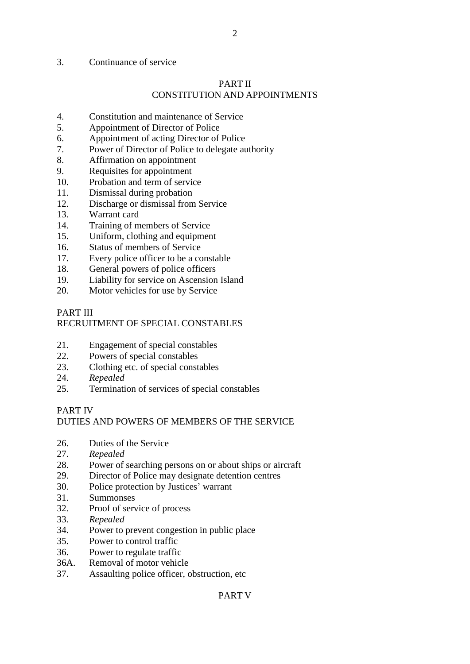## 3. Continuance of service

# PART II

2

# CONSTITUTION AND APPOINTMENTS

- 4. Constitution and maintenance of Service
- 5. Appointment of Director of Police
- 6. Appointment of acting Director of Police
- 7. Power of Director of Police to delegate authority
- 8. Affirmation on appointment
- 9. Requisites for appointment
- 10. Probation and term of service
- 11. Dismissal during probation
- 12. Discharge or dismissal from Service
- 13. Warrant card
- 14. Training of members of Service
- 15. Uniform, clothing and equipment
- 16. Status of members of Service
- 17. Every police officer to be a constable
- 18. General powers of police officers
- 19. Liability for service on Ascension Island
- 20. Motor vehicles for use by Service

# PART III

# RECRUITMENT OF SPECIAL CONSTABLES

- 21. Engagement of special constables
- 22. Powers of special constables
- 23. Clothing etc. of special constables
- 24. *Repealed*
- 25. Termination of services of special constables

# PART IV

# DUTIES AND POWERS OF MEMBERS OF THE SERVICE

- 26. Duties of the Service
- 27. *Repealed*
- 28. Power of searching persons on or about ships or aircraft
- 29. Director of Police may designate detention centres
- 30. Police protection by Justices' warrant
- 31. Summonses
- 32. Proof of service of process
- 33. *Repealed*
- 34. Power to prevent congestion in public place
- 35. Power to control traffic
- 36. Power to regulate traffic
- 36A. Removal of motor vehicle
- 37. Assaulting police officer, obstruction, etc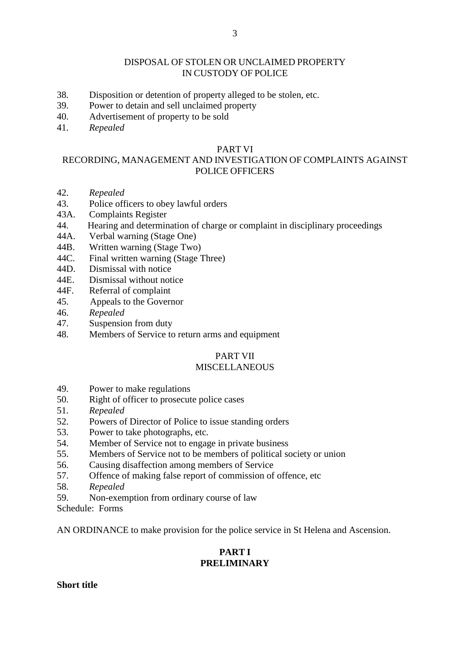## DISPOSAL OF STOLEN OR UNCLAIMED PROPERTY IN CUSTODY OF POLICE

- 38. Disposition or detention of property alleged to be stolen, etc.
- 39. Power to detain and sell unclaimed property
- 40. Advertisement of property to be sold
- 41. *Repealed*

#### PART VI

# RECORDING, MANAGEMENT AND INVESTIGATION OF COMPLAINTS AGAINST POLICE OFFICERS

- 42. *Repealed*
- 43. Police officers to obey lawful orders
- 43A. Complaints Register
- 44. Hearing and determination of charge or complaint in disciplinary proceedings
- 44A. Verbal warning (Stage One)
- 44B. Written warning (Stage Two)
- 44C. Final written warning (Stage Three)
- 44D. Dismissal with notice
- 44E. Dismissal without notice
- 44F. Referral of complaint
- 45. Appeals to the Governor
- 46. *Repealed*
- 47. Suspension from duty
- 48. Members of Service to return arms and equipment

#### PART VII

# **MISCELLANEOUS**

- 49. Power to make regulations
- 50. Right of officer to prosecute police cases
- 51. *Repealed*
- 52. Powers of Director of Police to issue standing orders
- 53. Power to take photographs, etc.
- 54. Member of Service not to engage in private business
- 55. Members of Service not to be members of political society or union
- 56. Causing disaffection among members of Service
- 57. Offence of making false report of commission of offence, etc
- 58. *Repealed*
- 59. Non-exemption from ordinary course of law
- Schedule: Forms

AN ORDINANCE to make provision for the police service in St Helena and Ascension.

# **PART I PRELIMINARY**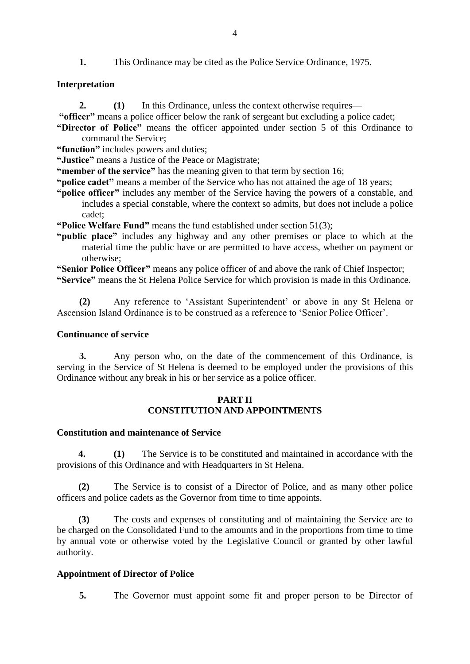**1.** This Ordinance may be cited as the Police Service Ordinance, 1975.

# **Interpretation**

- **2. (1)** In this Ordinance, unless the context otherwise requires—
- **"officer"** means a police officer below the rank of sergeant but excluding a police cadet;
- **"Director of Police"** means the officer appointed under section 5 of this Ordinance to command the Service;
- **"function"** includes powers and duties;
- **"Justice"** means a Justice of the Peace or Magistrate;
- **"member of the service"** has the meaning given to that term by section 16;
- **"police cadet"** means a member of the Service who has not attained the age of 18 years;
- **"police officer"** includes any member of the Service having the powers of a constable, and includes a special constable, where the context so admits, but does not include a police cadet;
- **"Police Welfare Fund"** means the fund established under section 51(3);
- **"public place"** includes any highway and any other premises or place to which at the material time the public have or are permitted to have access, whether on payment or otherwise;
- **"Senior Police Officer"** means any police officer of and above the rank of Chief Inspector;
- **"Service"** means the St Helena Police Service for which provision is made in this Ordinance.

**(2)** Any reference to 'Assistant Superintendent' or above in any St Helena or Ascension Island Ordinance is to be construed as a reference to 'Senior Police Officer'.

## **Continuance of service**

**3.** Any person who, on the date of the commencement of this Ordinance, is serving in the Service of St Helena is deemed to be employed under the provisions of this Ordinance without any break in his or her service as a police officer.

# **PART II CONSTITUTION AND APPOINTMENTS**

# **Constitution and maintenance of Service**

**4. (1)** The Service is to be constituted and maintained in accordance with the provisions of this Ordinance and with Headquarters in St Helena.

**(2)** The Service is to consist of a Director of Police, and as many other police officers and police cadets as the Governor from time to time appoints.

**(3)** The costs and expenses of constituting and of maintaining the Service are to be charged on the Consolidated Fund to the amounts and in the proportions from time to time by annual vote or otherwise voted by the Legislative Council or granted by other lawful authority.

# **Appointment of Director of Police**

**5.** The Governor must appoint some fit and proper person to be Director of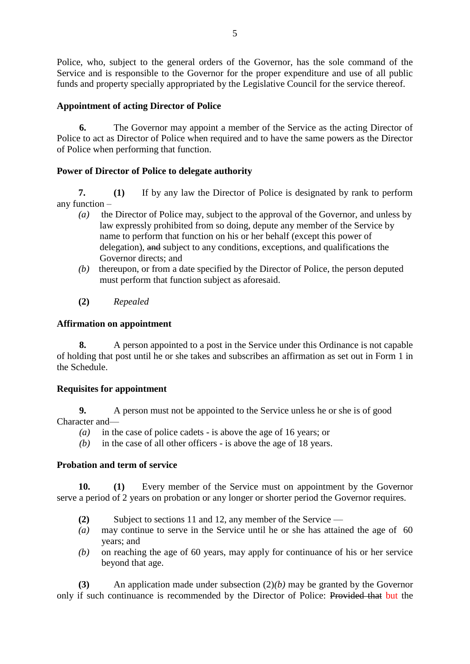Police, who, subject to the general orders of the Governor, has the sole command of the Service and is responsible to the Governor for the proper expenditure and use of all public funds and property specially appropriated by the Legislative Council for the service thereof.

# **Appointment of acting Director of Police**

**6.** The Governor may appoint a member of the Service as the acting Director of Police to act as Director of Police when required and to have the same powers as the Director of Police when performing that function.

# **Power of Director of Police to delegate authority**

**7. (1)** If by any law the Director of Police is designated by rank to perform any function –

- *(a)* the Director of Police may, subject to the approval of the Governor, and unless by law expressly prohibited from so doing, depute any member of the Service by name to perform that function on his or her behalf (except this power of delegation), and subject to any conditions, exceptions, and qualifications the Governor directs; and
- *(b)* thereupon, or from a date specified by the Director of Police, the person deputed must perform that function subject as aforesaid.
- **(2)** *Repealed*

# **Affirmation on appointment**

**8.** A person appointed to a post in the Service under this Ordinance is not capable of holding that post until he or she takes and subscribes an affirmation as set out in Form 1 in the Schedule.

# **Requisites for appointment**

**9.** A person must not be appointed to the Service unless he or she is of good Character and—

- *(a)* in the case of police cadets is above the age of 16 years; or
- *(b)* in the case of all other officers is above the age of 18 years.

# **Probation and term of service**

**10. (1)** Every member of the Service must on appointment by the Governor serve a period of 2 years on probation or any longer or shorter period the Governor requires.

- **(2)** Subject to sections 11 and 12, any member of the Service —
- *(a)* may continue to serve in the Service until he or she has attained the age of 60 years; and
- *(b)* on reaching the age of 60 years, may apply for continuance of his or her service beyond that age.

**(3)** An application made under subsection (2)*(b)* may be granted by the Governor only if such continuance is recommended by the Director of Police: Provided that but the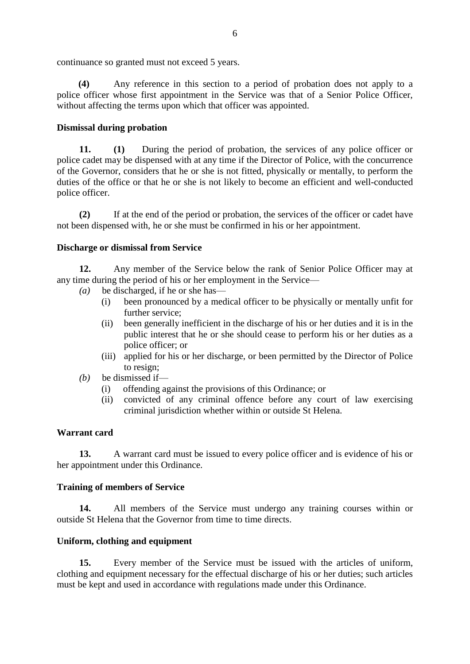continuance so granted must not exceed 5 years.

**(4)** Any reference in this section to a period of probation does not apply to a police officer whose first appointment in the Service was that of a Senior Police Officer, without affecting the terms upon which that officer was appointed.

## **Dismissal during probation**

**11. (1)** During the period of probation, the services of any police officer or police cadet may be dispensed with at any time if the Director of Police, with the concurrence of the Governor, considers that he or she is not fitted, physically or mentally, to perform the duties of the office or that he or she is not likely to become an efficient and well-conducted police officer.

**(2)** If at the end of the period or probation, the services of the officer or cadet have not been dispensed with, he or she must be confirmed in his or her appointment.

## **Discharge or dismissal from Service**

**12.** Any member of the Service below the rank of Senior Police Officer may at any time during the period of his or her employment in the Service—

- *(a)* be discharged, if he or she has—
	- (i) been pronounced by a medical officer to be physically or mentally unfit for further service;
	- (ii) been generally inefficient in the discharge of his or her duties and it is in the public interest that he or she should cease to perform his or her duties as a police officer; or
	- (iii) applied for his or her discharge, or been permitted by the Director of Police to resign;
- *(b)* be dismissed if—
	- (i) offending against the provisions of this Ordinance; or
	- (ii) convicted of any criminal offence before any court of law exercising criminal jurisdiction whether within or outside St Helena.

## **Warrant card**

**13.** A warrant card must be issued to every police officer and is evidence of his or her appointment under this Ordinance.

## **Training of members of Service**

**14.** All members of the Service must undergo any training courses within or outside St Helena that the Governor from time to time directs.

## **Uniform, clothing and equipment**

**15.** Every member of the Service must be issued with the articles of uniform, clothing and equipment necessary for the effectual discharge of his or her duties; such articles must be kept and used in accordance with regulations made under this Ordinance.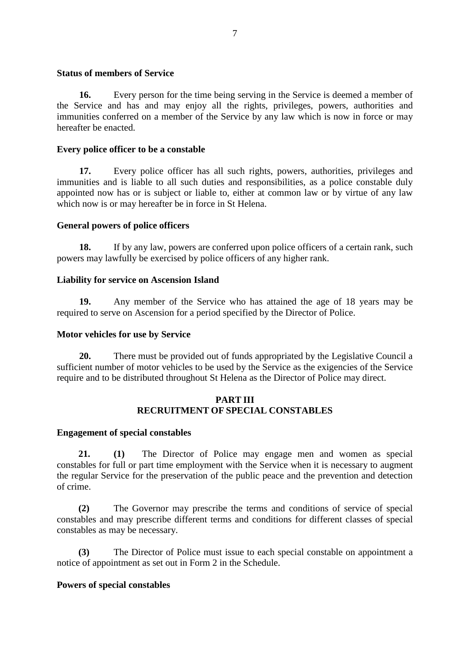#### **Status of members of Service**

**16.** Every person for the time being serving in the Service is deemed a member of the Service and has and may enjoy all the rights, privileges, powers, authorities and immunities conferred on a member of the Service by any law which is now in force or may hereafter be enacted.

## **Every police officer to be a constable**

**17.** Every police officer has all such rights, powers, authorities, privileges and immunities and is liable to all such duties and responsibilities, as a police constable duly appointed now has or is subject or liable to, either at common law or by virtue of any law which now is or may hereafter be in force in St Helena.

# **General powers of police officers**

**18.** If by any law, powers are conferred upon police officers of a certain rank, such powers may lawfully be exercised by police officers of any higher rank.

## **Liability for service on Ascension Island**

**19.** Any member of the Service who has attained the age of 18 years may be required to serve on Ascension for a period specified by the Director of Police.

## **Motor vehicles for use by Service**

**20.** There must be provided out of funds appropriated by the Legislative Council a sufficient number of motor vehicles to be used by the Service as the exigencies of the Service require and to be distributed throughout St Helena as the Director of Police may direct.

## **PART III RECRUITMENT OF SPECIAL CONSTABLES**

## **Engagement of special constables**

**21. (1)** The Director of Police may engage men and women as special constables for full or part time employment with the Service when it is necessary to augment the regular Service for the preservation of the public peace and the prevention and detection of crime.

**(2)** The Governor may prescribe the terms and conditions of service of special constables and may prescribe different terms and conditions for different classes of special constables as may be necessary.

**(3)** The Director of Police must issue to each special constable on appointment a notice of appointment as set out in Form 2 in the Schedule.

## **Powers of special constables**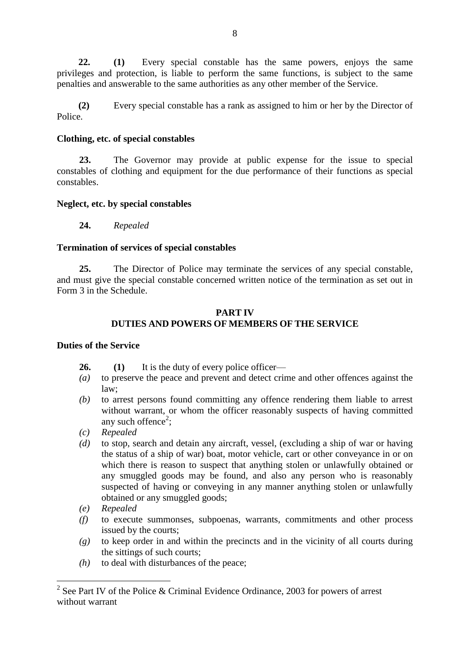**22. (1)** Every special constable has the same powers, enjoys the same privileges and protection, is liable to perform the same functions, is subject to the same penalties and answerable to the same authorities as any other member of the Service.

**(2)** Every special constable has a rank as assigned to him or her by the Director of Police.

## **Clothing, etc. of special constables**

**23.** The Governor may provide at public expense for the issue to special constables of clothing and equipment for the due performance of their functions as special constables.

# **Neglect, etc. by special constables**

**24.** *Repealed*

# **Termination of services of special constables**

**25.** The Director of Police may terminate the services of any special constable, and must give the special constable concerned written notice of the termination as set out in Form 3 in the Schedule.

# **PART IV DUTIES AND POWERS OF MEMBERS OF THE SERVICE**

# **Duties of the Service**

- **26. (1)** It is the duty of every police officer—
- *(a)* to preserve the peace and prevent and detect crime and other offences against the law;
- *(b)* to arrest persons found committing any offence rendering them liable to arrest without warrant, or whom the officer reasonably suspects of having committed any such offence<sup>2</sup>;
- *(c) Repealed*
- *(d)* to stop, search and detain any aircraft, vessel, (excluding a ship of war or having the status of a ship of war) boat, motor vehicle, cart or other conveyance in or on which there is reason to suspect that anything stolen or unlawfully obtained or any smuggled goods may be found, and also any person who is reasonably suspected of having or conveying in any manner anything stolen or unlawfully obtained or any smuggled goods;
- *(e) Repealed*
- *(f)* to execute summonses, subpoenas, warrants, commitments and other process issued by the courts;
- *(g)* to keep order in and within the precincts and in the vicinity of all courts during the sittings of such courts;
- *(h)* to deal with disturbances of the peace;

<sup>&</sup>lt;sup>2</sup> See Part IV of the Police & Criminal Evidence Ordinance, 2003 for powers of arrest without warrant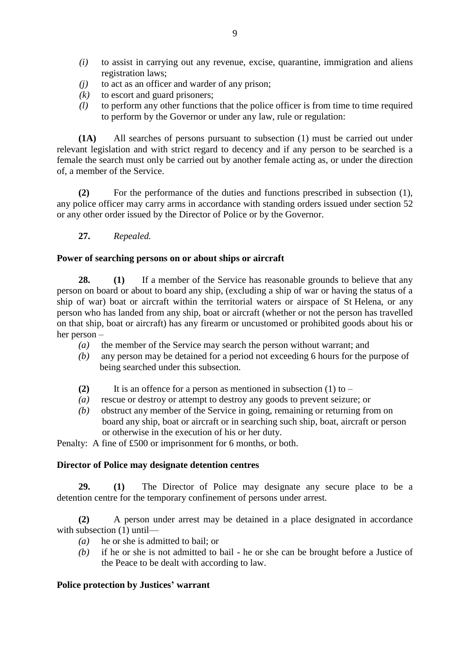- *(i)* to assist in carrying out any revenue, excise, quarantine, immigration and aliens registration laws;
- *(j)* to act as an officer and warder of any prison;
- *(k)* to escort and guard prisoners;
- *(l)* to perform any other functions that the police officer is from time to time required to perform by the Governor or under any law, rule or regulation:

**(1A)** All searches of persons pursuant to subsection (1) must be carried out under relevant legislation and with strict regard to decency and if any person to be searched is a female the search must only be carried out by another female acting as, or under the direction of, a member of the Service.

**(2)** For the performance of the duties and functions prescribed in subsection (1), any police officer may carry arms in accordance with standing orders issued under section 52 or any other order issued by the Director of Police or by the Governor.

**27.** *Repealed.*

## **Power of searching persons on or about ships or aircraft**

**28. (1)** If a member of the Service has reasonable grounds to believe that any person on board or about to board any ship, (excluding a ship of war or having the status of a ship of war) boat or aircraft within the territorial waters or airspace of St Helena, or any person who has landed from any ship, boat or aircraft (whether or not the person has travelled on that ship, boat or aircraft) has any firearm or uncustomed or prohibited goods about his or her person –

- *(a)* the member of the Service may search the person without warrant; and
- *(b)* any person may be detained for a period not exceeding 6 hours for the purpose of being searched under this subsection.
- **(2)** It is an offence for a person as mentioned in subsection (1) to –
- *(a)* rescue or destroy or attempt to destroy any goods to prevent seizure; or
- *(b)* obstruct any member of the Service in going, remaining or returning from on board any ship, boat or aircraft or in searching such ship, boat, aircraft or person or otherwise in the execution of his or her duty.

Penalty: A fine of £500 or imprisonment for 6 months, or both.

## **Director of Police may designate detention centres**

**29. (1)** The Director of Police may designate any secure place to be a detention centre for the temporary confinement of persons under arrest.

**(2)** A person under arrest may be detained in a place designated in accordance with subsection (1) until-

- *(a)* he or she is admitted to bail; or
- *(b)* if he or she is not admitted to bail he or she can be brought before a Justice of the Peace to be dealt with according to law.

## **Police protection by Justices' warrant**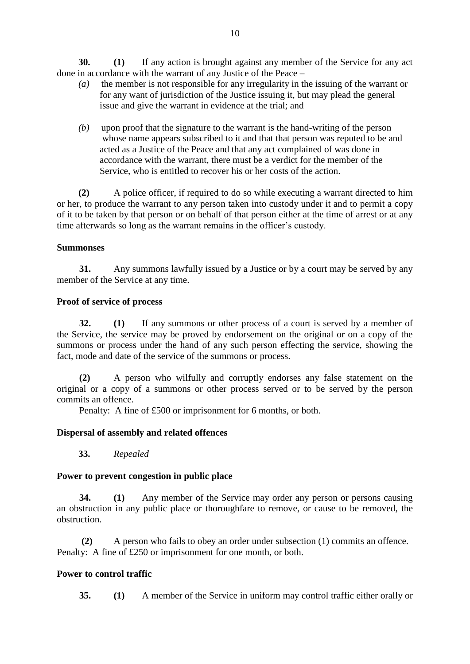**30. (1)** If any action is brought against any member of the Service for any act done in accordance with the warrant of any Justice of the Peace –

- *(a)* the member is not responsible for any irregularity in the issuing of the warrant or for any want of jurisdiction of the Justice issuing it, but may plead the general issue and give the warrant in evidence at the trial; and
- *(b)* upon proof that the signature to the warrant is the hand-writing of the person whose name appears subscribed to it and that that person was reputed to be and acted as a Justice of the Peace and that any act complained of was done in accordance with the warrant, there must be a verdict for the member of the Service, who is entitled to recover his or her costs of the action.

**(2)** A police officer, if required to do so while executing a warrant directed to him or her, to produce the warrant to any person taken into custody under it and to permit a copy of it to be taken by that person or on behalf of that person either at the time of arrest or at any time afterwards so long as the warrant remains in the officer's custody.

## **Summonses**

**31.** Any summons lawfully issued by a Justice or by a court may be served by any member of the Service at any time.

# **Proof of service of process**

**32. (1)** If any summons or other process of a court is served by a member of the Service, the service may be proved by endorsement on the original or on a copy of the summons or process under the hand of any such person effecting the service, showing the fact, mode and date of the service of the summons or process.

**(2)** A person who wilfully and corruptly endorses any false statement on the original or a copy of a summons or other process served or to be served by the person commits an offence.

Penalty: A fine of £500 or imprisonment for 6 months, or both.

# **Dispersal of assembly and related offences**

**33.** *Repealed*

## **Power to prevent congestion in public place**

**34. (1)** Any member of the Service may order any person or persons causing an obstruction in any public place or thoroughfare to remove, or cause to be removed, the obstruction.

**(2)** A person who fails to obey an order under subsection (1) commits an offence. Penalty: A fine of £250 or imprisonment for one month, or both.

# **Power to control traffic**

**35. (1)** A member of the Service in uniform may control traffic either orally or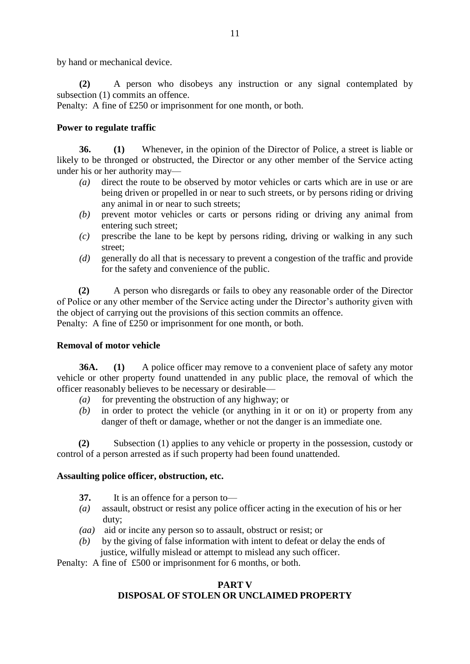by hand or mechanical device.

**(2)** A person who disobeys any instruction or any signal contemplated by subsection (1) commits an offence.

Penalty: A fine of £250 or imprisonment for one month, or both.

# **Power to regulate traffic**

**36. (1)** Whenever, in the opinion of the Director of Police, a street is liable or likely to be thronged or obstructed, the Director or any other member of the Service acting under his or her authority may—

- *(a)* direct the route to be observed by motor vehicles or carts which are in use or are being driven or propelled in or near to such streets, or by persons riding or driving any animal in or near to such streets;
- *(b)* prevent motor vehicles or carts or persons riding or driving any animal from entering such street;
- *(c)* prescribe the lane to be kept by persons riding, driving or walking in any such street;
- *(d)* generally do all that is necessary to prevent a congestion of the traffic and provide for the safety and convenience of the public.

**(2)** A person who disregards or fails to obey any reasonable order of the Director of Police or any other member of the Service acting under the Director's authority given with the object of carrying out the provisions of this section commits an offence. Penalty: A fine of £250 or imprisonment for one month, or both.

## **Removal of motor vehicle**

**36A. (1)** A police officer may remove to a convenient place of safety any motor vehicle or other property found unattended in any public place, the removal of which the officer reasonably believes to be necessary or desirable—

- *(a)* for preventing the obstruction of any highway; or
- *(b)* in order to protect the vehicle (or anything in it or on it) or property from any danger of theft or damage, whether or not the danger is an immediate one.

**(2)** Subsection (1) applies to any vehicle or property in the possession, custody or control of a person arrested as if such property had been found unattended.

## **Assaulting police officer, obstruction, etc.**

- **37.** It is an offence for a person to—
- *(a)* assault, obstruct or resist any police officer acting in the execution of his or her duty;
- *(aa)* aid or incite any person so to assault, obstruct or resist; or
- *(b)* by the giving of false information with intent to defeat or delay the ends of justice, wilfully mislead or attempt to mislead any such officer.

Penalty: A fine of £500 or imprisonment for 6 months, or both.

# **PART V DISPOSAL OF STOLEN OR UNCLAIMED PROPERTY**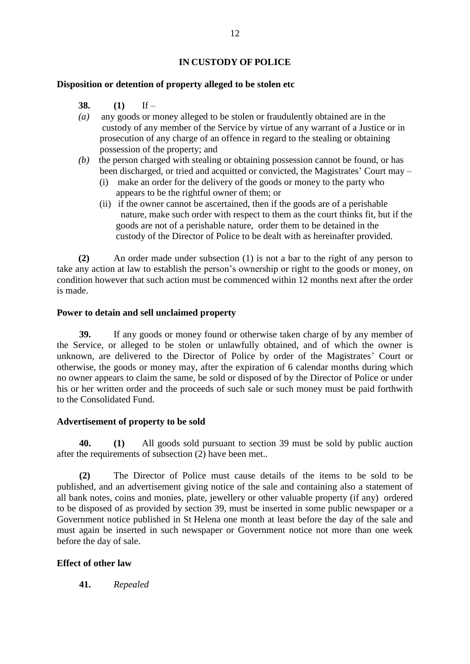# **IN CUSTODY OF POLICE**

#### **Disposition or detention of property alleged to be stolen etc**

- **38. (1)** If –
- *(a)* any goods or money alleged to be stolen or fraudulently obtained are in the custody of any member of the Service by virtue of any warrant of a Justice or in prosecution of any charge of an offence in regard to the stealing or obtaining possession of the property; and
- *(b)* the person charged with stealing or obtaining possession cannot be found, or has been discharged, or tried and acquitted or convicted, the Magistrates' Court may –
	- (i) make an order for the delivery of the goods or money to the party who appears to be the rightful owner of them; or
	- (ii) if the owner cannot be ascertained, then if the goods are of a perishable nature, make such order with respect to them as the court thinks fit, but if the goods are not of a perishable nature, order them to be detained in the custody of the Director of Police to be dealt with as hereinafter provided.

**(2)** An order made under subsection (1) is not a bar to the right of any person to take any action at law to establish the person's ownership or right to the goods or money, on condition however that such action must be commenced within 12 months next after the order is made.

#### **Power to detain and sell unclaimed property**

**39.** If any goods or money found or otherwise taken charge of by any member of the Service, or alleged to be stolen or unlawfully obtained, and of which the owner is unknown, are delivered to the Director of Police by order of the Magistrates' Court or otherwise, the goods or money may, after the expiration of 6 calendar months during which no owner appears to claim the same, be sold or disposed of by the Director of Police or under his or her written order and the proceeds of such sale or such money must be paid forthwith to the Consolidated Fund.

## **Advertisement of property to be sold**

**40. (1)** All goods sold pursuant to section 39 must be sold by public auction after the requirements of subsection (2) have been met..

**(2)** The Director of Police must cause details of the items to be sold to be published, and an advertisement giving notice of the sale and containing also a statement of all bank notes, coins and monies, plate, jewellery or other valuable property (if any) ordered to be disposed of as provided by section 39, must be inserted in some public newspaper or a Government notice published in St Helena one month at least before the day of the sale and must again be inserted in such newspaper or Government notice not more than one week before the day of sale.

## **Effect of other law**

**41.** *Repealed*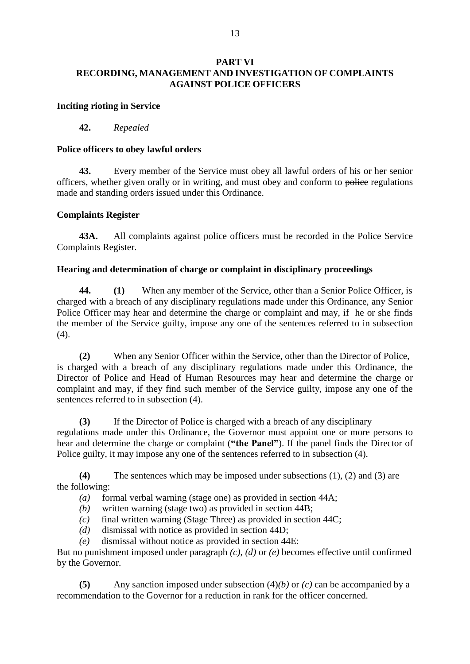## **PART VI RECORDING, MANAGEMENT AND INVESTIGATION OF COMPLAINTS AGAINST POLICE OFFICERS**

#### **Inciting rioting in Service**

#### **42.** *Repealed*

#### **Police officers to obey lawful orders**

**43.** Every member of the Service must obey all lawful orders of his or her senior officers, whether given orally or in writing, and must obey and conform to police regulations made and standing orders issued under this Ordinance.

#### **Complaints Register**

**43A.** All complaints against police officers must be recorded in the Police Service Complaints Register.

#### **Hearing and determination of charge or complaint in disciplinary proceedings**

**44. (1)** When any member of the Service, other than a Senior Police Officer, is charged with a breach of any disciplinary regulations made under this Ordinance, any Senior Police Officer may hear and determine the charge or complaint and may, if he or she finds the member of the Service guilty, impose any one of the sentences referred to in subsection (4).

**(2)** When any Senior Officer within the Service, other than the Director of Police, is charged with a breach of any disciplinary regulations made under this Ordinance, the Director of Police and Head of Human Resources may hear and determine the charge or complaint and may, if they find such member of the Service guilty, impose any one of the sentences referred to in subsection (4).

**(3)** If the Director of Police is charged with a breach of any disciplinary regulations made under this Ordinance, the Governor must appoint one or more persons to hear and determine the charge or complaint (**"the Panel"**). If the panel finds the Director of Police guilty, it may impose any one of the sentences referred to in subsection (4).

**(4)** The sentences which may be imposed under subsections (1), (2) and (3) are the following:

- *(a)* formal verbal warning (stage one) as provided in section 44A;
- *(b)* written warning (stage two) as provided in section 44B;
- *(c)* final written warning (Stage Three) as provided in section 44C;
- *(d)* dismissal with notice as provided in section 44D;

*(e)* dismissal without notice as provided in section 44E:

But no punishment imposed under paragraph *(c)*, *(d)* or *(e)* becomes effective until confirmed by the Governor.

**(5)** Any sanction imposed under subsection (4)*(b)* or *(c)* can be accompanied by a recommendation to the Governor for a reduction in rank for the officer concerned.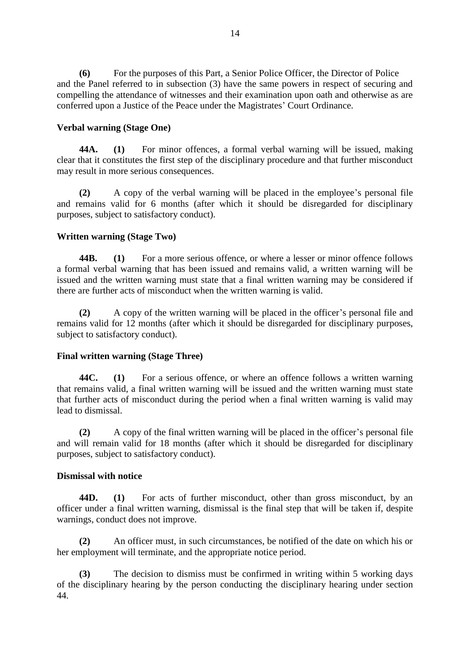**(6)** For the purposes of this Part, a Senior Police Officer, the Director of Police and the Panel referred to in subsection (3) have the same powers in respect of securing and compelling the attendance of witnesses and their examination upon oath and otherwise as are conferred upon a Justice of the Peace under the Magistrates' Court Ordinance.

## **Verbal warning (Stage One)**

**44A. (1)** For minor offences, a formal verbal warning will be issued, making clear that it constitutes the first step of the disciplinary procedure and that further misconduct may result in more serious consequences.

**(2)** A copy of the verbal warning will be placed in the employee's personal file and remains valid for 6 months (after which it should be disregarded for disciplinary purposes, subject to satisfactory conduct).

# **Written warning (Stage Two)**

**44B. (1)** For a more serious offence, or where a lesser or minor offence follows a formal verbal warning that has been issued and remains valid, a written warning will be issued and the written warning must state that a final written warning may be considered if there are further acts of misconduct when the written warning is valid.

**(2)** A copy of the written warning will be placed in the officer's personal file and remains valid for 12 months (after which it should be disregarded for disciplinary purposes, subject to satisfactory conduct).

## **Final written warning (Stage Three)**

**44C. (1)** For a serious offence, or where an offence follows a written warning that remains valid, a final written warning will be issued and the written warning must state that further acts of misconduct during the period when a final written warning is valid may lead to dismissal.

**(2)** A copy of the final written warning will be placed in the officer's personal file and will remain valid for 18 months (after which it should be disregarded for disciplinary purposes, subject to satisfactory conduct).

## **Dismissal with notice**

**44D. (1)** For acts of further misconduct, other than gross misconduct, by an officer under a final written warning, dismissal is the final step that will be taken if, despite warnings, conduct does not improve.

**(2)** An officer must, in such circumstances, be notified of the date on which his or her employment will terminate, and the appropriate notice period.

**(3)** The decision to dismiss must be confirmed in writing within 5 working days of the disciplinary hearing by the person conducting the disciplinary hearing under section 44.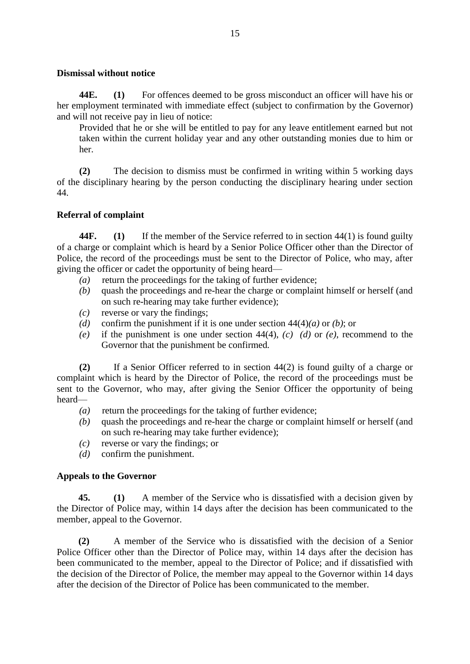#### **Dismissal without notice**

**44E. (1)** For offences deemed to be gross misconduct an officer will have his or her employment terminated with immediate effect (subject to confirmation by the Governor) and will not receive pay in lieu of notice:

Provided that he or she will be entitled to pay for any leave entitlement earned but not taken within the current holiday year and any other outstanding monies due to him or her.

**(2)** The decision to dismiss must be confirmed in writing within 5 working days of the disciplinary hearing by the person conducting the disciplinary hearing under section 44.

# **Referral of complaint**

**44F. (1)** If the member of the Service referred to in section 44(1) is found guilty of a charge or complaint which is heard by a Senior Police Officer other than the Director of Police, the record of the proceedings must be sent to the Director of Police, who may, after giving the officer or cadet the opportunity of being heard—

- *(a)* return the proceedings for the taking of further evidence;
- *(b)* quash the proceedings and re-hear the charge or complaint himself or herself (and on such re-hearing may take further evidence);
- *(c)* reverse or vary the findings;
- *(d)* confirm the punishment if it is one under section 44(4)*(a)* or *(b)*; or
- *(e)* if the punishment is one under section 44(4), *(c) (d)* or *(e)*, recommend to the Governor that the punishment be confirmed*.*

**(2)** If a Senior Officer referred to in section 44(2) is found guilty of a charge or complaint which is heard by the Director of Police, the record of the proceedings must be sent to the Governor, who may, after giving the Senior Officer the opportunity of being heard—

- *(a)* return the proceedings for the taking of further evidence;
- *(b)* quash the proceedings and re-hear the charge or complaint himself or herself (and on such re-hearing may take further evidence);
- *(c)* reverse or vary the findings; or
- *(d)* confirm the punishment.

## **Appeals to the Governor**

**45. (1)** A member of the Service who is dissatisfied with a decision given by the Director of Police may, within 14 days after the decision has been communicated to the member, appeal to the Governor.

**(2)** A member of the Service who is dissatisfied with the decision of a Senior Police Officer other than the Director of Police may, within 14 days after the decision has been communicated to the member, appeal to the Director of Police; and if dissatisfied with the decision of the Director of Police, the member may appeal to the Governor within 14 days after the decision of the Director of Police has been communicated to the member.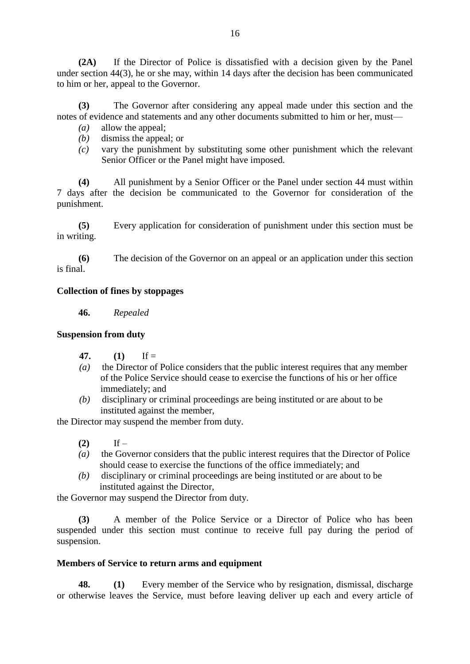**(2A)** If the Director of Police is dissatisfied with a decision given by the Panel under section 44(3), he or she may, within 14 days after the decision has been communicated to him or her, appeal to the Governor.

**(3)** The Governor after considering any appeal made under this section and the notes of evidence and statements and any other documents submitted to him or her, must—

- *(a)* allow the appeal;
- *(b)* dismiss the appeal; or
- *(c)* vary the punishment by substituting some other punishment which the relevant Senior Officer or the Panel might have imposed.

**(4)** All punishment by a Senior Officer or the Panel under section 44 must within 7 days after the decision be communicated to the Governor for consideration of the punishment.

**(5)** Every application for consideration of punishment under this section must be in writing.

**(6)** The decision of the Governor on an appeal or an application under this section is final.

## **Collection of fines by stoppages**

**46.** *Repealed*

#### **Suspension from duty**

- **47. (1)** If =
- *(a)* the Director of Police considers that the public interest requires that any member of the Police Service should cease to exercise the functions of his or her office immediately; and
- *(b)* disciplinary or criminal proceedings are being instituted or are about to be instituted against the member,

the Director may suspend the member from duty.

- (2) If –
- *(a)* the Governor considers that the public interest requires that the Director of Police should cease to exercise the functions of the office immediately; and
- *(b)* disciplinary or criminal proceedings are being instituted or are about to be instituted against the Director,

the Governor may suspend the Director from duty.

**(3)** A member of the Police Service or a Director of Police who has been suspended under this section must continue to receive full pay during the period of suspension.

#### **Members of Service to return arms and equipment**

**48. (1)** Every member of the Service who by resignation, dismissal, discharge or otherwise leaves the Service, must before leaving deliver up each and every article of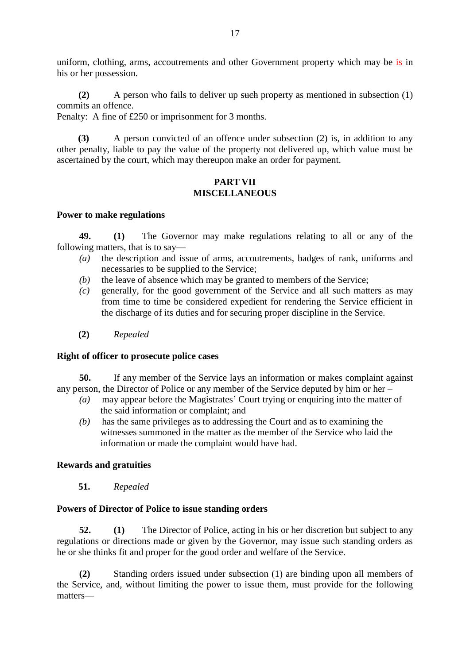uniform, clothing, arms, accoutrements and other Government property which may be is in his or her possession.

**(2)** A person who fails to deliver up such property as mentioned in subsection (1) commits an offence.

Penalty: A fine of £250 or imprisonment for 3 months.

 **(3)** A person convicted of an offence under subsection (2) is, in addition to any other penalty, liable to pay the value of the property not delivered up, which value must be ascertained by the court, which may thereupon make an order for payment.

## **PART VII MISCELLANEOUS**

## **Power to make regulations**

**49. (1)** The Governor may make regulations relating to all or any of the following matters, that is to say—

- *(a)* the description and issue of arms, accoutrements, badges of rank, uniforms and necessaries to be supplied to the Service;
- *(b)* the leave of absence which may be granted to members of the Service;
- *(c)* generally, for the good government of the Service and all such matters as may from time to time be considered expedient for rendering the Service efficient in the discharge of its duties and for securing proper discipline in the Service.
- **(2)** *Repealed*

## **Right of officer to prosecute police cases**

**50.** If any member of the Service lays an information or makes complaint against any person, the Director of Police or any member of the Service deputed by him or her –

- *(a)* may appear before the Magistrates' Court trying or enquiring into the matter of the said information or complaint; and
- *(b)* has the same privileges as to addressing the Court and as to examining the witnesses summoned in the matter as the member of the Service who laid the information or made the complaint would have had.

# **Rewards and gratuities**

**51.** *Repealed*

## **Powers of Director of Police to issue standing orders**

**52. (1)** The Director of Police, acting in his or her discretion but subject to any regulations or directions made or given by the Governor, may issue such standing orders as he or she thinks fit and proper for the good order and welfare of the Service.

**(2)** Standing orders issued under subsection (1) are binding upon all members of the Service, and, without limiting the power to issue them, must provide for the following matters—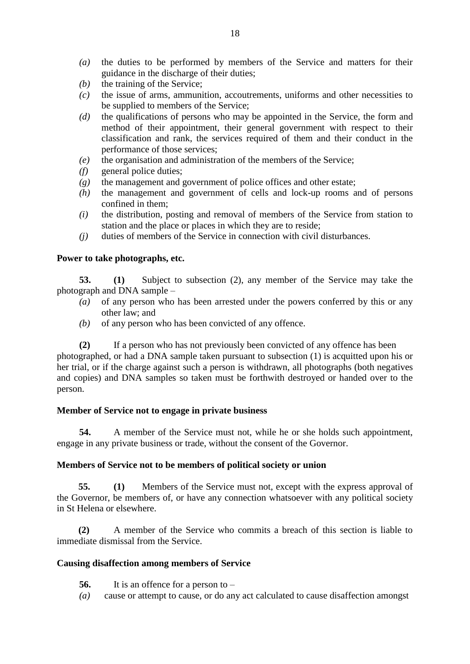- *(a)* the duties to be performed by members of the Service and matters for their guidance in the discharge of their duties;
- *(b)* the training of the Service;
- *(c)* the issue of arms, ammunition, accoutrements, uniforms and other necessities to be supplied to members of the Service;
- *(d)* the qualifications of persons who may be appointed in the Service, the form and method of their appointment, their general government with respect to their classification and rank, the services required of them and their conduct in the performance of those services;
- *(e)* the organisation and administration of the members of the Service;
- *(f)* general police duties;
- *(g)* the management and government of police offices and other estate;
- *(h)* the management and government of cells and lock-up rooms and of persons confined in them;
- *(i)* the distribution, posting and removal of members of the Service from station to station and the place or places in which they are to reside;
- *(j)* duties of members of the Service in connection with civil disturbances.

## **Power to take photographs, etc.**

**53. (1)** Subject to subsection (2), any member of the Service may take the photograph and DNA sample –

- *(a)* of any person who has been arrested under the powers conferred by this or any other law; and
- *(b)* of any person who has been convicted of any offence.

**(2)** If a person who has not previously been convicted of any offence has been photographed, or had a DNA sample taken pursuant to subsection (1) is acquitted upon his or her trial, or if the charge against such a person is withdrawn, all photographs (both negatives and copies) and DNA samples so taken must be forthwith destroyed or handed over to the person.

## **Member of Service not to engage in private business**

**54.** A member of the Service must not, while he or she holds such appointment, engage in any private business or trade, without the consent of the Governor.

## **Members of Service not to be members of political society or union**

**55. (1)** Members of the Service must not, except with the express approval of the Governor, be members of, or have any connection whatsoever with any political society in St Helena or elsewhere.

**(2)** A member of the Service who commits a breach of this section is liable to immediate dismissal from the Service.

#### **Causing disaffection among members of Service**

- **56.** It is an offence for a person to –
- *(a)* cause or attempt to cause, or do any act calculated to cause disaffection amongst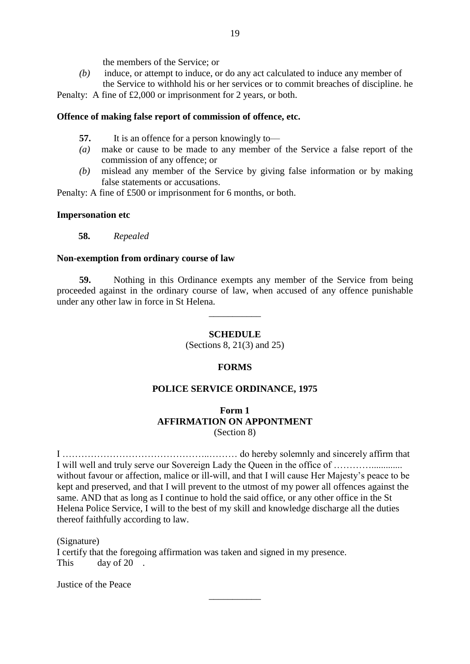the members of the Service; or

*(b)* induce, or attempt to induce, or do any act calculated to induce any member of the Service to withhold his or her services or to commit breaches of discipline. he

Penalty: A fine of £2,000 or imprisonment for 2 years, or both.

#### **Offence of making false report of commission of offence, etc.**

- **57.** It is an offence for a person knowingly to—
- *(a)* make or cause to be made to any member of the Service a false report of the commission of any offence; or
- *(b)* mislead any member of the Service by giving false information or by making false statements or accusations.

Penalty: A fine of £500 or imprisonment for 6 months, or both.

#### **Impersonation etc**

**58.** *Repealed*

#### **Non-exemption from ordinary course of law**

**59.** Nothing in this Ordinance exempts any member of the Service from being proceeded against in the ordinary course of law, when accused of any offence punishable under any other law in force in St Helena.

\_\_\_\_\_\_\_\_\_\_\_

## **SCHEDULE**

(Sections 8, 21(3) and 25)

#### **FORMS**

## **POLICE SERVICE ORDINANCE, 1975**

## **Form 1 AFFIRMATION ON APPONTMENT** (Section 8)

I ………………………………………..……… do hereby solemnly and sincerely affirm that I will well and truly serve our Sovereign Lady the Queen in the office of …………............. without favour or affection, malice or ill-will, and that I will cause Her Majesty's peace to be kept and preserved, and that I will prevent to the utmost of my power all offences against the same. AND that as long as I continue to hold the said office, or any other office in the St Helena Police Service, I will to the best of my skill and knowledge discharge all the duties thereof faithfully according to law.

\_\_\_\_\_\_\_\_\_\_\_

(Signature) I certify that the foregoing affirmation was taken and signed in my presence. This day of 20.

Justice of the Peace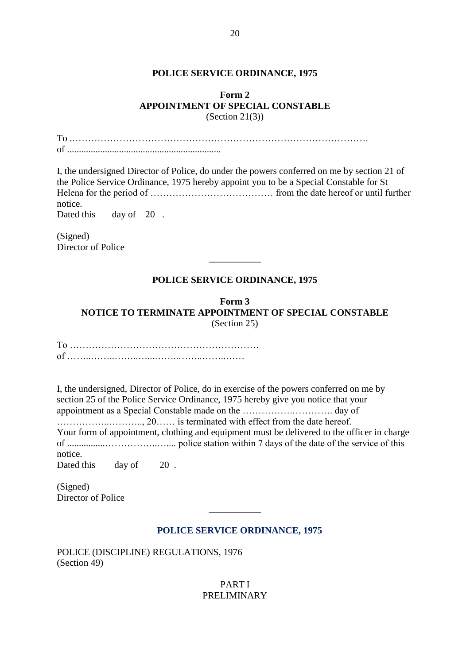#### **POLICE SERVICE ORDINANCE, 1975**

#### **Form 2 APPOINTMENT OF SPECIAL CONSTABLE**  $(Section 21(3))$

To .…………………………………………………………………………………. of .................................................................

I, the undersigned Director of Police, do under the powers conferred on me by section 21 of the Police Service Ordinance, 1975 hereby appoint you to be a Special Constable for St Helena for the period of ………………………………… from the date hereof or until further notice. Dated this day of 20.

(Signed) Director of Police

# **POLICE SERVICE ORDINANCE, 1975**

\_\_\_\_\_\_\_\_\_\_\_

**Form 3 NOTICE TO TERMINATE APPOINTMENT OF SPECIAL CONSTABLE** (Section 25)

To …………………………………………………… of ……..……..……..…...……..……..……..……

I, the undersigned, Director of Police, do in exercise of the powers conferred on me by section 25 of the Police Service Ordinance, 1975 hereby give you notice that your appointment as a Special Constable made on the …………….…………. day of ……………..……….., 20…… is terminated with effect from the date hereof. Your form of appointment, clothing and equipment must be delivered to the officer in charge of ................……………..….... police station within 7 days of the date of the service of this notice. Dated this day of 20.

(Signed) Director of Police

# **POLICE SERVICE ORDINANCE, 1975**

 $\overline{\phantom{a}}$ 

POLICE (DISCIPLINE) REGULATIONS, 1976 (Section 49)

> PART I PRELIMINARY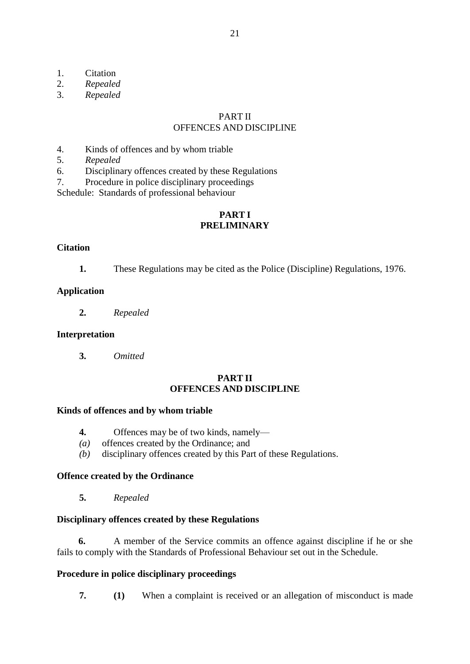- 1. Citation<br>2. Repealed
- 2. *Repealed*
- 3. *Repealed*

#### PART II OFFENCES AND DISCIPLINE

- 4. Kinds of offences and by whom triable
- 5. *Repealed*
- 6. Disciplinary offences created by these Regulations
- 7. Procedure in police disciplinary proceedings

Schedule: Standards of professional behaviour

# **PART I PRELIMINARY**

#### **Citation**

**1.** These Regulations may be cited as the Police (Discipline) Regulations, 1976.

#### **Application**

**2.** *Repealed*

#### **Interpretation**

**3.** *Omitted*

#### **PART II OFFENCES AND DISCIPLINE**

#### **Kinds of offences and by whom triable**

- **4.** Offences may be of two kinds, namely—
- *(a)* offences created by the Ordinance; and
- *(b)* disciplinary offences created by this Part of these Regulations.

#### **Offence created by the Ordinance**

**5.** *Repealed*

#### **Disciplinary offences created by these Regulations**

**6.** A member of the Service commits an offence against discipline if he or she fails to comply with the Standards of Professional Behaviour set out in the Schedule.

#### **Procedure in police disciplinary proceedings**

**7. (1)** When a complaint is received or an allegation of misconduct is made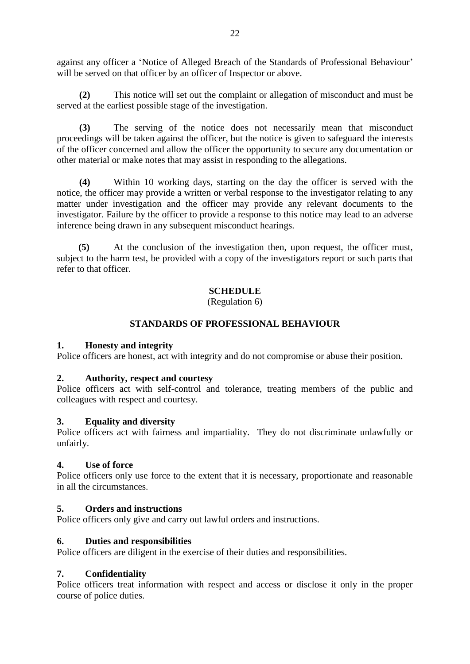against any officer a 'Notice of Alleged Breach of the Standards of Professional Behaviour' will be served on that officer by an officer of Inspector or above.

**(2)** This notice will set out the complaint or allegation of misconduct and must be served at the earliest possible stage of the investigation.

**(3)** The serving of the notice does not necessarily mean that misconduct proceedings will be taken against the officer, but the notice is given to safeguard the interests of the officer concerned and allow the officer the opportunity to secure any documentation or other material or make notes that may assist in responding to the allegations.

**(4)** Within 10 working days, starting on the day the officer is served with the notice, the officer may provide a written or verbal response to the investigator relating to any matter under investigation and the officer may provide any relevant documents to the investigator. Failure by the officer to provide a response to this notice may lead to an adverse inference being drawn in any subsequent misconduct hearings.

**(5)** At the conclusion of the investigation then, upon request, the officer must, subject to the harm test, be provided with a copy of the investigators report or such parts that refer to that officer.

# **SCHEDULE**

(Regulation 6)

# **STANDARDS OF PROFESSIONAL BEHAVIOUR**

## **1. Honesty and integrity**

Police officers are honest, act with integrity and do not compromise or abuse their position.

## **2. Authority, respect and courtesy**

Police officers act with self-control and tolerance, treating members of the public and colleagues with respect and courtesy.

## **3. Equality and diversity**

Police officers act with fairness and impartiality. They do not discriminate unlawfully or unfairly.

## **4. Use of force**

Police officers only use force to the extent that it is necessary, proportionate and reasonable in all the circumstances.

## **5. Orders and instructions**

Police officers only give and carry out lawful orders and instructions.

# **6. Duties and responsibilities**

Police officers are diligent in the exercise of their duties and responsibilities.

# **7. Confidentiality**

Police officers treat information with respect and access or disclose it only in the proper course of police duties.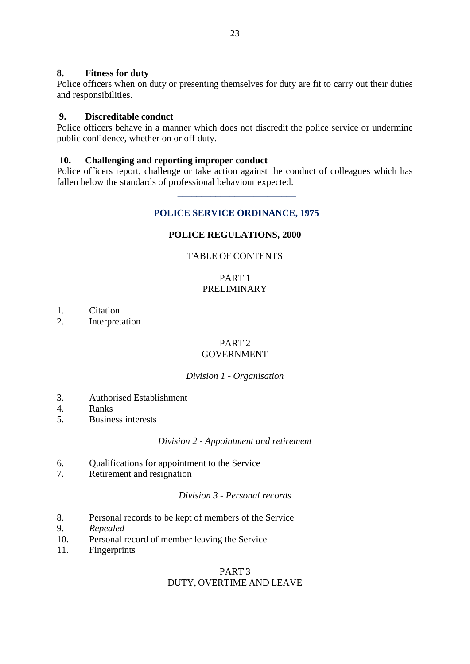## **8. Fitness for duty**

Police officers when on duty or presenting themselves for duty are fit to carry out their duties and responsibilities.

## **9. Discreditable conduct**

Police officers behave in a manner which does not discredit the police service or undermine public confidence, whether on or off duty.

#### **10. Challenging and reporting improper conduct**

 **\_\_\_\_\_\_\_\_\_\_\_\_\_\_\_\_\_\_\_\_\_\_\_\_\_**

Police officers report, challenge or take action against the conduct of colleagues which has fallen below the standards of professional behaviour expected.

## **POLICE SERVICE ORDINANCE, 1975**

#### **POLICE REGULATIONS, 2000**

#### TABLE OF CONTENTS

## PART 1 PRELIMINARY

- 1. Citation
- 2. Interpretation

#### PART<sub>2</sub> GOVERNMENT

## *Division 1 - Organisation*

- 3. Authorised Establishment
- 4. Ranks
- 5. Business interests

#### *Division 2 - Appointment and retirement*

- 6. Qualifications for appointment to the Service
- 7. Retirement and resignation

*Division 3 - Personal records*

- 8. Personal records to be kept of members of the Service
- 9. *Repealed*
- 10. Personal record of member leaving the Service
- 11. Fingerprints

# PART 3 DUTY, OVERTIME AND LEAVE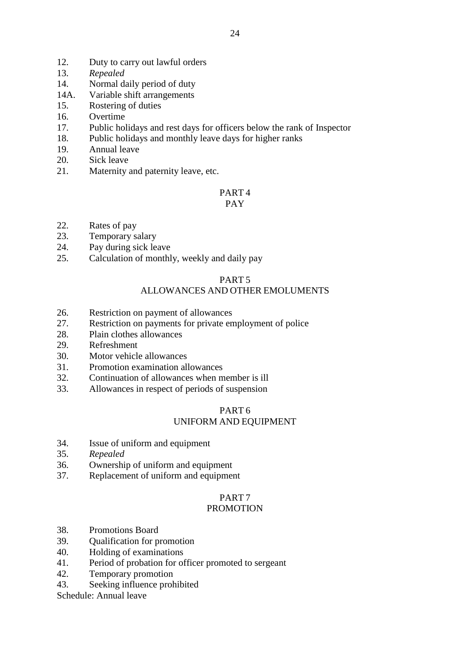- 12. Duty to carry out lawful orders
- 13. *Repealed*
- 14. Normal daily period of duty
- 14A. Variable shift arrangements
- 15. Rostering of duties
- 16. Overtime
- 17. Public holidays and rest days for officers below the rank of Inspector
- 18. Public holidays and monthly leave days for higher ranks
- 19. Annual leave
- 20. Sick leave
- 21. Maternity and paternity leave, etc.

# PART 4

## PAY

- 22. Rates of pay
- 23. Temporary salary
- 24. Pay during sick leave
- 25. Calculation of monthly, weekly and daily pay

#### PART 5 ALLOWANCES AND OTHER EMOLUMENTS

- 26. Restriction on payment of allowances
- 27. Restriction on payments for private employment of police
- 28. Plain clothes allowances
- 29. Refreshment
- 30. Motor vehicle allowances
- 31. Promotion examination allowances
- 32. Continuation of allowances when member is ill
- 33. Allowances in respect of periods of suspension

# PART 6 UNIFORM AND EQUIPMENT

- 34. Issue of uniform and equipment
- 35. *Repealed*
- 36. Ownership of uniform and equipment
- 37. Replacement of uniform and equipment

# PART 7

# PROMOTION

- 38. Promotions Board
- 39. Qualification for promotion
- 40. Holding of examinations
- 41. Period of probation for officer promoted to sergeant
- 42. Temporary promotion
- 43. Seeking influence prohibited

Schedule: Annual leave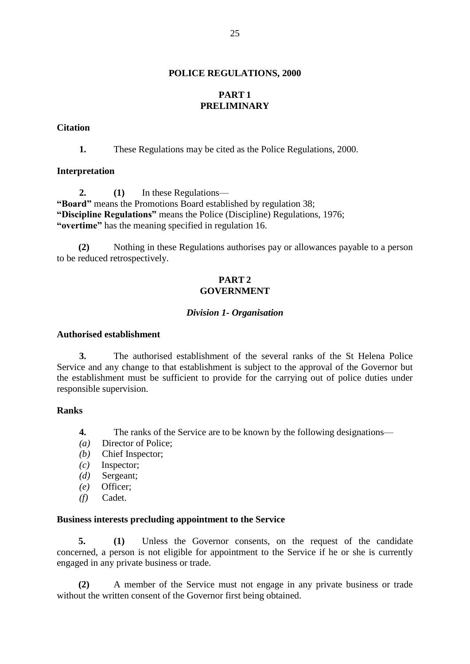#### **POLICE REGULATIONS, 2000**

# **PART 1 PRELIMINARY**

#### **Citation**

**1.** These Regulations may be cited as the Police Regulations, 2000.

#### **Interpretation**

**2. (1)** In these Regulations— **"Board"** means the Promotions Board established by regulation 38; **"Discipline Regulations"** means the Police (Discipline) Regulations, 1976; **"overtime"** has the meaning specified in regulation 16.

**(2)** Nothing in these Regulations authorises pay or allowances payable to a person to be reduced retrospectively.

## **PART 2 GOVERNMENT**

#### *Division 1- Organisation*

#### **Authorised establishment**

**3.** The authorised establishment of the several ranks of the St Helena Police Service and any change to that establishment is subject to the approval of the Governor but the establishment must be sufficient to provide for the carrying out of police duties under responsible supervision.

## **Ranks**

- **4.** The ranks of the Service are to be known by the following designations—
- *(a)* Director of Police;
- *(b)* Chief Inspector;
- *(c)* Inspector;
- *(d)* Sergeant;
- *(e)* Officer;
- *(f)* Cadet.

## **Business interests precluding appointment to the Service**

**5. (1)** Unless the Governor consents, on the request of the candidate concerned, a person is not eligible for appointment to the Service if he or she is currently engaged in any private business or trade.

**(2)** A member of the Service must not engage in any private business or trade without the written consent of the Governor first being obtained.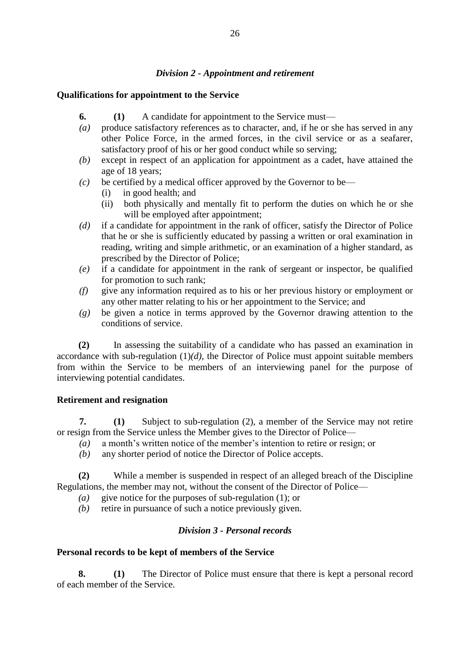## *Division 2 - Appointment and retirement*

# **Qualifications for appointment to the Service**

- **6. (1)** A candidate for appointment to the Service must—
- *(a)* produce satisfactory references as to character, and, if he or she has served in any other Police Force, in the armed forces, in the civil service or as a seafarer, satisfactory proof of his or her good conduct while so serving;
- *(b)* except in respect of an application for appointment as a cadet, have attained the age of 18 years;
- $(c)$  be certified by a medical officer approved by the Governor to be—
	- (i) in good health; and
	- (ii) both physically and mentally fit to perform the duties on which he or she will be employed after appointment;
- *(d)* if a candidate for appointment in the rank of officer, satisfy the Director of Police that he or she is sufficiently educated by passing a written or oral examination in reading, writing and simple arithmetic, or an examination of a higher standard, as prescribed by the Director of Police;
- *(e)* if a candidate for appointment in the rank of sergeant or inspector, be qualified for promotion to such rank;
- *(f)* give any information required as to his or her previous history or employment or any other matter relating to his or her appointment to the Service; and
- *(g)* be given a notice in terms approved by the Governor drawing attention to the conditions of service.

**(2)** In assessing the suitability of a candidate who has passed an examination in accordance with sub-regulation  $(1)(d)$ , the Director of Police must appoint suitable members from within the Service to be members of an interviewing panel for the purpose of interviewing potential candidates.

## **Retirement and resignation**

**7. (1)** Subject to sub-regulation (2), a member of the Service may not retire or resign from the Service unless the Member gives to the Director of Police—

- *(a)* a month's written notice of the member's intention to retire or resign; or
- *(b)* any shorter period of notice the Director of Police accepts.

**(2)** While a member is suspended in respect of an alleged breach of the Discipline Regulations, the member may not, without the consent of the Director of Police—

- *(a)* give notice for the purposes of sub-regulation (1); or
- *(b)* retire in pursuance of such a notice previously given.

# *Division 3 - Personal records*

## **Personal records to be kept of members of the Service**

**8. (1)** The Director of Police must ensure that there is kept a personal record of each member of the Service.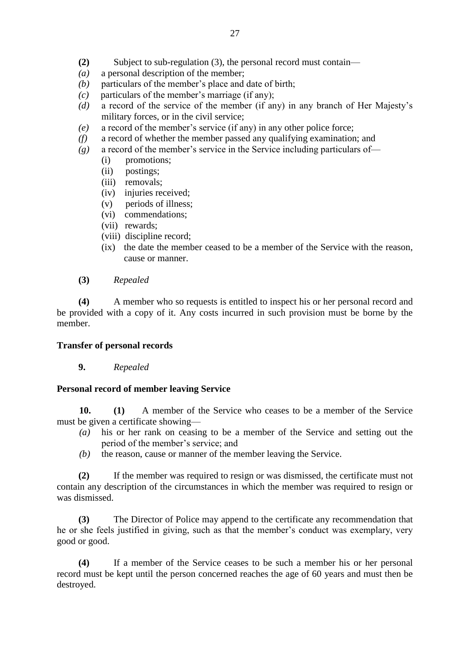- **(2)** Subject to sub-regulation (3), the personal record must contain—
- *(a)* a personal description of the member;
- *(b)* particulars of the member's place and date of birth;
- *(c)* particulars of the member's marriage (if any);
- *(d)* a record of the service of the member (if any) in any branch of Her Majesty's military forces, or in the civil service;
- *(e)* a record of the member's service (if any) in any other police force;
- *(f)* a record of whether the member passed any qualifying examination; and
- *(g)* a record of the member's service in the Service including particulars of—
	- (i) promotions;
	- (ii) postings;
	- (iii) removals;
	- (iv) injuries received;
	- (v) periods of illness;
	- (vi) commendations;
	- (vii) rewards;
	- (viii) discipline record;
	- (ix) the date the member ceased to be a member of the Service with the reason, cause or manner.
- **(3)** *Repealed*

**(4)** A member who so requests is entitled to inspect his or her personal record and be provided with a copy of it. Any costs incurred in such provision must be borne by the member.

## **Transfer of personal records**

**9.** *Repealed*

#### **Personal record of member leaving Service**

**10. (1)** A member of the Service who ceases to be a member of the Service must be given a certificate showing—

- *(a)* his or her rank on ceasing to be a member of the Service and setting out the period of the member's service; and
- *(b)* the reason, cause or manner of the member leaving the Service.

**(2)** If the member was required to resign or was dismissed, the certificate must not contain any description of the circumstances in which the member was required to resign or was dismissed.

**(3)** The Director of Police may append to the certificate any recommendation that he or she feels justified in giving, such as that the member's conduct was exemplary, very good or good.

**(4)** If a member of the Service ceases to be such a member his or her personal record must be kept until the person concerned reaches the age of 60 years and must then be destroyed.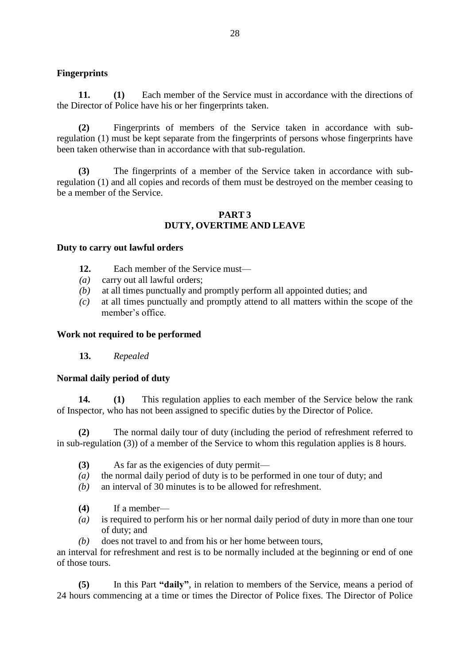# **Fingerprints**

**11. (1)** Each member of the Service must in accordance with the directions of the Director of Police have his or her fingerprints taken.

**(2)** Fingerprints of members of the Service taken in accordance with subregulation (1) must be kept separate from the fingerprints of persons whose fingerprints have been taken otherwise than in accordance with that sub-regulation.

**(3)** The fingerprints of a member of the Service taken in accordance with subregulation (1) and all copies and records of them must be destroyed on the member ceasing to be a member of the Service.

#### **PART 3 DUTY, OVERTIME AND LEAVE**

#### **Duty to carry out lawful orders**

- **12.** Each member of the Service must—
- *(a)* carry out all lawful orders;
- *(b)* at all times punctually and promptly perform all appointed duties; and
- *(c)* at all times punctually and promptly attend to all matters within the scope of the member's office.

#### **Work not required to be performed**

**13.** *Repealed*

## **Normal daily period of duty**

**14. (1)** This regulation applies to each member of the Service below the rank of Inspector, who has not been assigned to specific duties by the Director of Police.

**(2)** The normal daily tour of duty (including the period of refreshment referred to in sub-regulation (3)) of a member of the Service to whom this regulation applies is 8 hours.

- **(3)** As far as the exigencies of duty permit—
- *(a)* the normal daily period of duty is to be performed in one tour of duty; and
- *(b)* an interval of 30 minutes is to be allowed for refreshment.
- **(4)** If a member—
- *(a)* is required to perform his or her normal daily period of duty in more than one tour of duty; and
- *(b)* does not travel to and from his or her home between tours,

an interval for refreshment and rest is to be normally included at the beginning or end of one of those tours.

**(5)** In this Part **"daily"**, in relation to members of the Service, means a period of 24 hours commencing at a time or times the Director of Police fixes. The Director of Police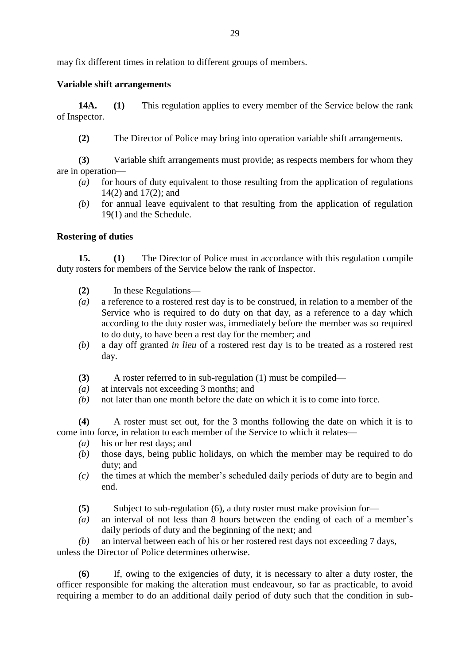may fix different times in relation to different groups of members.

# **Variable shift arrangements**

**14A. (1)** This regulation applies to every member of the Service below the rank of Inspector.

**(2)** The Director of Police may bring into operation variable shift arrangements.

**(3)** Variable shift arrangements must provide; as respects members for whom they are in operation—

- *(a)* for hours of duty equivalent to those resulting from the application of regulations 14(2) and 17(2); and
- *(b)* for annual leave equivalent to that resulting from the application of regulation 19(1) and the Schedule.

# **Rostering of duties**

**15. (1)** The Director of Police must in accordance with this regulation compile duty rosters for members of the Service below the rank of Inspector.

- **(2)** In these Regulations—
- *(a)* a reference to a rostered rest day is to be construed, in relation to a member of the Service who is required to do duty on that day, as a reference to a day which according to the duty roster was, immediately before the member was so required to do duty, to have been a rest day for the member; and
- *(b)* a day off granted *in lieu* of a rostered rest day is to be treated as a rostered rest day.
- **(3)** A roster referred to in sub-regulation (1) must be compiled—
- *(a)* at intervals not exceeding 3 months; and
- *(b)* not later than one month before the date on which it is to come into force.

**(4)** A roster must set out, for the 3 months following the date on which it is to come into force, in relation to each member of the Service to which it relates—

- *(a)* his or her rest days; and
- *(b)* those days, being public holidays, on which the member may be required to do duty; and
- *(c)* the times at which the member's scheduled daily periods of duty are to begin and end.
- **(5)** Subject to sub-regulation (6), a duty roster must make provision for—
- *(a)* an interval of not less than 8 hours between the ending of each of a member's daily periods of duty and the beginning of the next; and

*(b)* an interval between each of his or her rostered rest days not exceeding 7 days, unless the Director of Police determines otherwise.

**(6)** If, owing to the exigencies of duty, it is necessary to alter a duty roster, the officer responsible for making the alteration must endeavour, so far as practicable, to avoid requiring a member to do an additional daily period of duty such that the condition in sub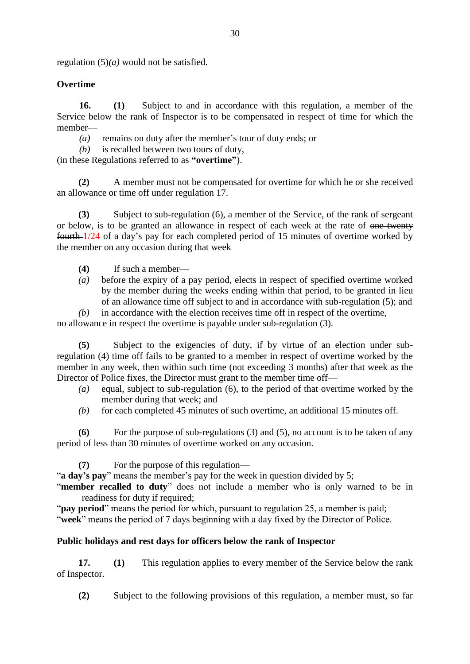regulation (5)*(a)* would not be satisfied.

# **Overtime**

**16. (1)** Subject to and in accordance with this regulation, a member of the Service below the rank of Inspector is to be compensated in respect of time for which the member—

*(a)* remains on duty after the member's tour of duty ends; or

*(b)* is recalled between two tours of duty,

(in these Regulations referred to as **"overtime"**).

**(2)** A member must not be compensated for overtime for which he or she received an allowance or time off under regulation 17.

**(3)** Subject to sub-regulation (6), a member of the Service, of the rank of sergeant or below, is to be granted an allowance in respect of each week at the rate of one twenty fourth 1/24 of a day's pay for each completed period of 15 minutes of overtime worked by the member on any occasion during that week

- **(4)** If such a member—
- *(a)* before the expiry of a pay period, elects in respect of specified overtime worked by the member during the weeks ending within that period, to be granted in lieu of an allowance time off subject to and in accordance with sub-regulation (5); and

*(b)* in accordance with the election receives time off in respect of the overtime, no allowance in respect the overtime is payable under sub-regulation (3).

**(5)** Subject to the exigencies of duty, if by virtue of an election under subregulation (4) time off fails to be granted to a member in respect of overtime worked by the member in any week, then within such time (not exceeding 3 months) after that week as the Director of Police fixes, the Director must grant to the member time off—

- *(a)* equal, subject to sub-regulation (6), to the period of that overtime worked by the member during that week; and
- *(b)* for each completed 45 minutes of such overtime, an additional 15 minutes off.

**(6)** For the purpose of sub-regulations (3) and (5), no account is to be taken of any period of less than 30 minutes of overtime worked on any occasion.

**(7)** For the purpose of this regulation—

"**a day's pay**" means the member's pay for the week in question divided by 5;

"**member recalled to duty**" does not include a member who is only warned to be in readiness for duty if required:

"**pay period**" means the period for which, pursuant to regulation 25, a member is paid; "**week**" means the period of 7 days beginning with a day fixed by the Director of Police.

# **Public holidays and rest days for officers below the rank of Inspector**

**17. (1)** This regulation applies to every member of the Service below the rank of Inspector.

**(2)** Subject to the following provisions of this regulation, a member must, so far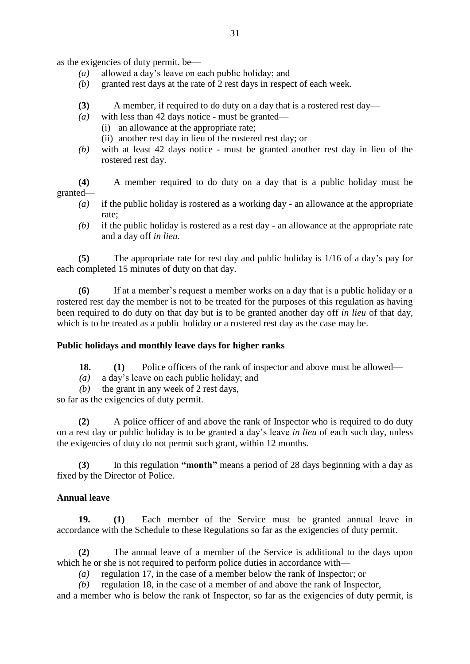as the exigencies of duty permit. be—

- *(a)* allowed a day's leave on each public holiday; and
- *(b)* granted rest days at the rate of 2 rest days in respect of each week.
- **(3)** A member, if required to do duty on a day that is a rostered rest day—
- *(a)* with less than 42 days notice must be granted—
	- (i) an allowance at the appropriate rate;
	- (ii) another rest day in lieu of the rostered rest day; or
- *(b)* with at least 42 days notice must be granted another rest day in lieu of the rostered rest day.

**(4)** A member required to do duty on a day that is a public holiday must be granted—

- *(a)* if the public holiday is rostered as a working day an allowance at the appropriate rate;
- *(b)* if the public holiday is rostered as a rest day an allowance at the appropriate rate and a day off *in lieu*.

**(5)** The appropriate rate for rest day and public holiday is 1/16 of a day's pay for each completed 15 minutes of duty on that day.

**(6)** If at a member's request a member works on a day that is a public holiday or a rostered rest day the member is not to be treated for the purposes of this regulation as having been required to do duty on that day but is to be granted another day off *in lieu* of that day, which is to be treated as a public holiday or a rostered rest day as the case may be.

## **Public holidays and monthly leave days for higher ranks**

**18. (1)** Police officers of the rank of inspector and above must be allowed—

- *(a)* a day's leave on each public holiday; and
- *(b)* the grant in any week of 2 rest days,

so far as the exigencies of duty permit.

**(2)** A police officer of and above the rank of Inspector who is required to do duty on a rest day or public holiday is to be granted a day's leave *in lieu* of each such day, unless the exigencies of duty do not permit such grant, within 12 months.

**(3)** In this regulation **"month"** means a period of 28 days beginning with a day as fixed by the Director of Police.

## **Annual leave**

**19. (1)** Each member of the Service must be granted annual leave in accordance with the Schedule to these Regulations so far as the exigencies of duty permit.

**(2)** The annual leave of a member of the Service is additional to the days upon which he or she is not required to perform police duties in accordance with—

*(a)* regulation 17, in the case of a member below the rank of Inspector; or

*(b)* regulation 18, in the case of a member of and above the rank of Inspector,

and a member who is below the rank of Inspector, so far as the exigencies of duty permit, is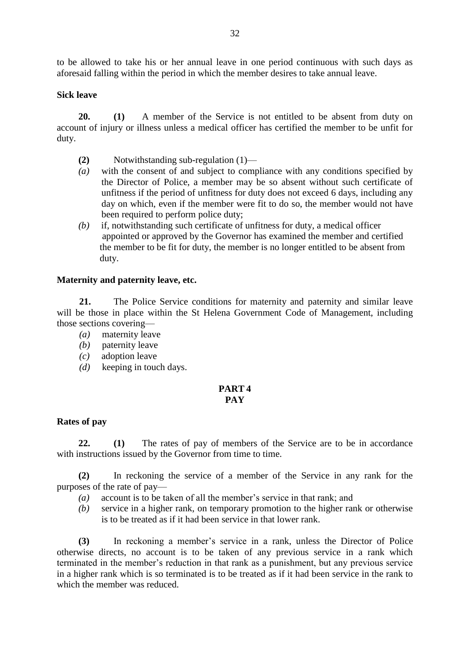to be allowed to take his or her annual leave in one period continuous with such days as aforesaid falling within the period in which the member desires to take annual leave.

## **Sick leave**

**20. (1)** A member of the Service is not entitled to be absent from duty on account of injury or illness unless a medical officer has certified the member to be unfit for duty.

- **(2)** Notwithstanding sub-regulation (1)—
- *(a)* with the consent of and subject to compliance with any conditions specified by the Director of Police, a member may be so absent without such certificate of unfitness if the period of unfitness for duty does not exceed 6 days, including any day on which, even if the member were fit to do so, the member would not have been required to perform police duty;
- *(b)* if, notwithstanding such certificate of unfitness for duty, a medical officer appointed or approved by the Governor has examined the member and certified the member to be fit for duty, the member is no longer entitled to be absent from duty.

#### **Maternity and paternity leave, etc.**

**21.** The Police Service conditions for maternity and paternity and similar leave will be those in place within the St Helena Government Code of Management, including those sections covering—

- *(a)* maternity leave
- *(b)* paternity leave
- *(c)* adoption leave
- *(d)* keeping in touch days.

#### **PART 4 PAY**

#### **Rates of pay**

**22. (1)** The rates of pay of members of the Service are to be in accordance with instructions issued by the Governor from time to time.

**(2)** In reckoning the service of a member of the Service in any rank for the purposes of the rate of pay—

- *(a)* account is to be taken of all the member's service in that rank; and
- *(b)* service in a higher rank, on temporary promotion to the higher rank or otherwise is to be treated as if it had been service in that lower rank.

**(3)** In reckoning a member's service in a rank, unless the Director of Police otherwise directs, no account is to be taken of any previous service in a rank which terminated in the member's reduction in that rank as a punishment, but any previous service in a higher rank which is so terminated is to be treated as if it had been service in the rank to which the member was reduced.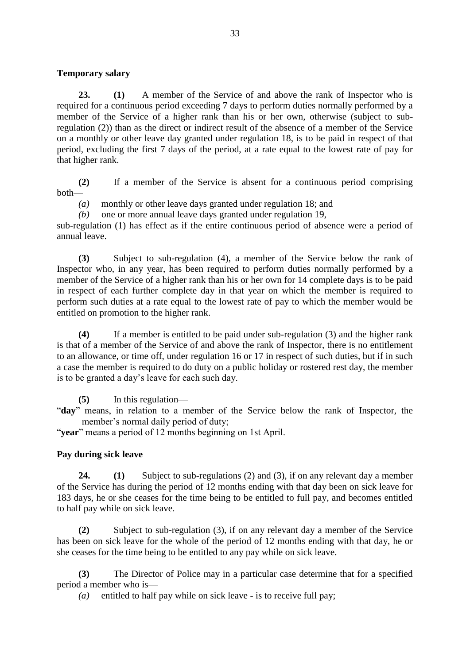## **Temporary salary**

**23. (1)** A member of the Service of and above the rank of Inspector who is required for a continuous period exceeding 7 days to perform duties normally performed by a member of the Service of a higher rank than his or her own, otherwise (subject to subregulation (2)) than as the direct or indirect result of the absence of a member of the Service on a monthly or other leave day granted under regulation 18, is to be paid in respect of that period, excluding the first 7 days of the period, at a rate equal to the lowest rate of pay for that higher rank.

**(2)** If a member of the Service is absent for a continuous period comprising both—

*(a)* monthly or other leave days granted under regulation 18; and

*(b)* one or more annual leave days granted under regulation 19,

sub-regulation (1) has effect as if the entire continuous period of absence were a period of annual leave.

**(3)** Subject to sub-regulation (4), a member of the Service below the rank of Inspector who, in any year, has been required to perform duties normally performed by a member of the Service of a higher rank than his or her own for 14 complete days is to be paid in respect of each further complete day in that year on which the member is required to perform such duties at a rate equal to the lowest rate of pay to which the member would be entitled on promotion to the higher rank.

**(4)** If a member is entitled to be paid under sub-regulation (3) and the higher rank is that of a member of the Service of and above the rank of Inspector, there is no entitlement to an allowance, or time off, under regulation 16 or 17 in respect of such duties, but if in such a case the member is required to do duty on a public holiday or rostered rest day, the member is to be granted a day's leave for each such day.

**(5)** In this regulation—

"**day**" means, in relation to a member of the Service below the rank of Inspector, the member's normal daily period of duty;

"**year**" means a period of 12 months beginning on 1st April.

## **Pay during sick leave**

**24. (1)** Subject to sub-regulations (2) and (3), if on any relevant day a member of the Service has during the period of 12 months ending with that day been on sick leave for 183 days, he or she ceases for the time being to be entitled to full pay, and becomes entitled to half pay while on sick leave.

**(2)** Subject to sub-regulation (3), if on any relevant day a member of the Service has been on sick leave for the whole of the period of 12 months ending with that day, he or she ceases for the time being to be entitled to any pay while on sick leave.

**(3)** The Director of Police may in a particular case determine that for a specified period a member who is—

*(a)* entitled to half pay while on sick leave - is to receive full pay;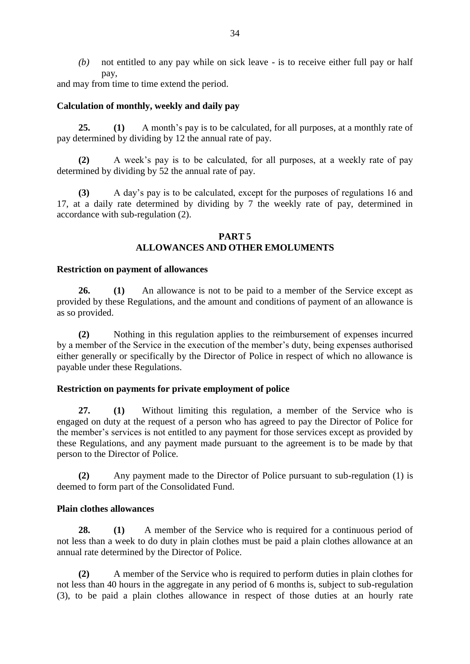*(b)* not entitled to any pay while on sick leave - is to receive either full pay or half pay,

and may from time to time extend the period.

# **Calculation of monthly, weekly and daily pay**

**25. (1)** A month's pay is to be calculated, for all purposes, at a monthly rate of pay determined by dividing by 12 the annual rate of pay.

**(2)** A week's pay is to be calculated, for all purposes, at a weekly rate of pay determined by dividing by 52 the annual rate of pay.

**(3)** A day's pay is to be calculated, except for the purposes of regulations 16 and 17, at a daily rate determined by dividing by 7 the weekly rate of pay, determined in accordance with sub-regulation (2).

## **PART 5 ALLOWANCES AND OTHER EMOLUMENTS**

# **Restriction on payment of allowances**

**26. (1)** An allowance is not to be paid to a member of the Service except as provided by these Regulations, and the amount and conditions of payment of an allowance is as so provided.

**(2)** Nothing in this regulation applies to the reimbursement of expenses incurred by a member of the Service in the execution of the member's duty, being expenses authorised either generally or specifically by the Director of Police in respect of which no allowance is payable under these Regulations.

# **Restriction on payments for private employment of police**

**27. (1)** Without limiting this regulation, a member of the Service who is engaged on duty at the request of a person who has agreed to pay the Director of Police for the member's services is not entitled to any payment for those services except as provided by these Regulations, and any payment made pursuant to the agreement is to be made by that person to the Director of Police.

**(2)** Any payment made to the Director of Police pursuant to sub-regulation (1) is deemed to form part of the Consolidated Fund.

# **Plain clothes allowances**

**28. (1)** A member of the Service who is required for a continuous period of not less than a week to do duty in plain clothes must be paid a plain clothes allowance at an annual rate determined by the Director of Police.

**(2)** A member of the Service who is required to perform duties in plain clothes for not less than 40 hours in the aggregate in any period of 6 months is, subject to sub-regulation (3), to be paid a plain clothes allowance in respect of those duties at an hourly rate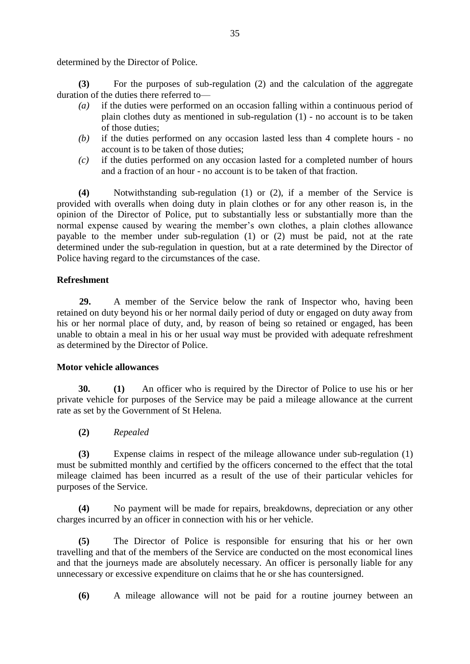determined by the Director of Police.

**(3)** For the purposes of sub-regulation (2) and the calculation of the aggregate duration of the duties there referred to—

- *(a)* if the duties were performed on an occasion falling within a continuous period of plain clothes duty as mentioned in sub-regulation (1) - no account is to be taken of those duties;
- *(b)* if the duties performed on any occasion lasted less than 4 complete hours no account is to be taken of those duties;
- *(c)* if the duties performed on any occasion lasted for a completed number of hours and a fraction of an hour - no account is to be taken of that fraction.

**(4)** Notwithstanding sub-regulation (1) or (2), if a member of the Service is provided with overalls when doing duty in plain clothes or for any other reason is, in the opinion of the Director of Police, put to substantially less or substantially more than the normal expense caused by wearing the member's own clothes, a plain clothes allowance payable to the member under sub-regulation (1) or (2) must be paid, not at the rate determined under the sub-regulation in question, but at a rate determined by the Director of Police having regard to the circumstances of the case.

# **Refreshment**

**29.** A member of the Service below the rank of Inspector who, having been retained on duty beyond his or her normal daily period of duty or engaged on duty away from his or her normal place of duty, and, by reason of being so retained or engaged, has been unable to obtain a meal in his or her usual way must be provided with adequate refreshment as determined by the Director of Police.

## **Motor vehicle allowances**

**30. (1)** An officer who is required by the Director of Police to use his or her private vehicle for purposes of the Service may be paid a mileage allowance at the current rate as set by the Government of St Helena.

**(2)** *Repealed*

**(3)** Expense claims in respect of the mileage allowance under sub-regulation (1) must be submitted monthly and certified by the officers concerned to the effect that the total mileage claimed has been incurred as a result of the use of their particular vehicles for purposes of the Service.

**(4)** No payment will be made for repairs, breakdowns, depreciation or any other charges incurred by an officer in connection with his or her vehicle.

**(5)** The Director of Police is responsible for ensuring that his or her own travelling and that of the members of the Service are conducted on the most economical lines and that the journeys made are absolutely necessary. An officer is personally liable for any unnecessary or excessive expenditure on claims that he or she has countersigned.

**(6)** A mileage allowance will not be paid for a routine journey between an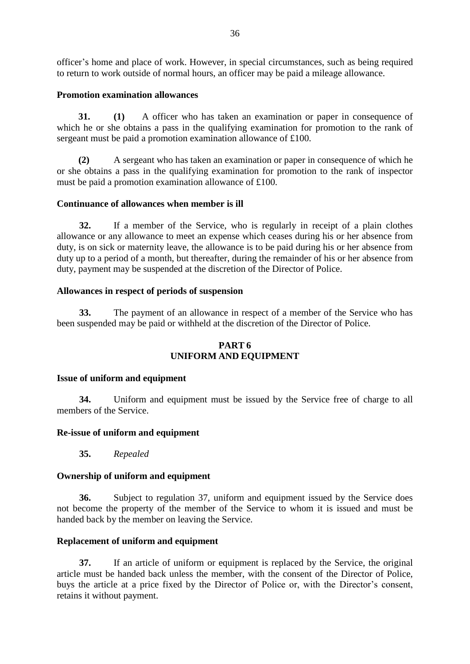officer's home and place of work. However, in special circumstances, such as being required to return to work outside of normal hours, an officer may be paid a mileage allowance.

## **Promotion examination allowances**

**31. (1)** A officer who has taken an examination or paper in consequence of which he or she obtains a pass in the qualifying examination for promotion to the rank of sergeant must be paid a promotion examination allowance of £100.

**(2)** A sergeant who has taken an examination or paper in consequence of which he or she obtains a pass in the qualifying examination for promotion to the rank of inspector must be paid a promotion examination allowance of £100.

# **Continuance of allowances when member is ill**

**32.** If a member of the Service, who is regularly in receipt of a plain clothes allowance or any allowance to meet an expense which ceases during his or her absence from duty, is on sick or maternity leave, the allowance is to be paid during his or her absence from duty up to a period of a month, but thereafter, during the remainder of his or her absence from duty, payment may be suspended at the discretion of the Director of Police.

# **Allowances in respect of periods of suspension**

**33.** The payment of an allowance in respect of a member of the Service who has been suspended may be paid or withheld at the discretion of the Director of Police.

# **PART 6 UNIFORM AND EQUIPMENT**

## **Issue of uniform and equipment**

**34.** Uniform and equipment must be issued by the Service free of charge to all members of the Service.

## **Re-issue of uniform and equipment**

**35.** *Repealed*

## **Ownership of uniform and equipment**

**36.** Subject to regulation 37, uniform and equipment issued by the Service does not become the property of the member of the Service to whom it is issued and must be handed back by the member on leaving the Service.

# **Replacement of uniform and equipment**

**37.** If an article of uniform or equipment is replaced by the Service, the original article must be handed back unless the member, with the consent of the Director of Police, buys the article at a price fixed by the Director of Police or, with the Director's consent, retains it without payment.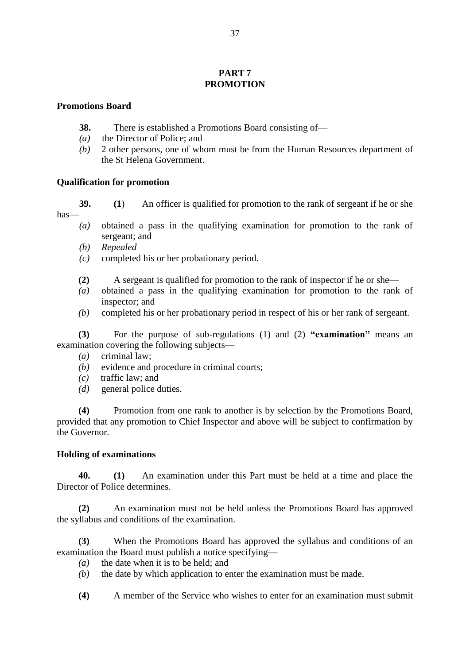## **PART 7 PROMOTION**

#### **Promotions Board**

- **38.** There is established a Promotions Board consisting of—
- *(a)* the Director of Police; and
- *(b)* 2 other persons, one of whom must be from the Human Resources department of the St Helena Government.

## **Qualification for promotion**

**39. (1**) An officer is qualified for promotion to the rank of sergeant if he or she has—

- *(a)* obtained a pass in the qualifying examination for promotion to the rank of sergeant; and
- *(b) Repealed*
- *(c)* completed his or her probationary period.
- **(2)** A sergeant is qualified for promotion to the rank of inspector if he or she—
- *(a)* obtained a pass in the qualifying examination for promotion to the rank of inspector; and
- *(b)* completed his or her probationary period in respect of his or her rank of sergeant.

**(3)** For the purpose of sub-regulations (1) and (2) **"examination"** means an examination covering the following subjects—

- *(a)* criminal law;
- *(b)* evidence and procedure in criminal courts;
- *(c)* traffic law; and
- *(d)* general police duties.

**(4)** Promotion from one rank to another is by selection by the Promotions Board, provided that any promotion to Chief Inspector and above will be subject to confirmation by the Governor.

## **Holding of examinations**

**40. (1)** An examination under this Part must be held at a time and place the Director of Police determines.

**(2)** An examination must not be held unless the Promotions Board has approved the syllabus and conditions of the examination.

**(3)** When the Promotions Board has approved the syllabus and conditions of an examination the Board must publish a notice specifying—

- *(a)* the date when it is to be held; and
- *(b)* the date by which application to enter the examination must be made.
- **(4)** A member of the Service who wishes to enter for an examination must submit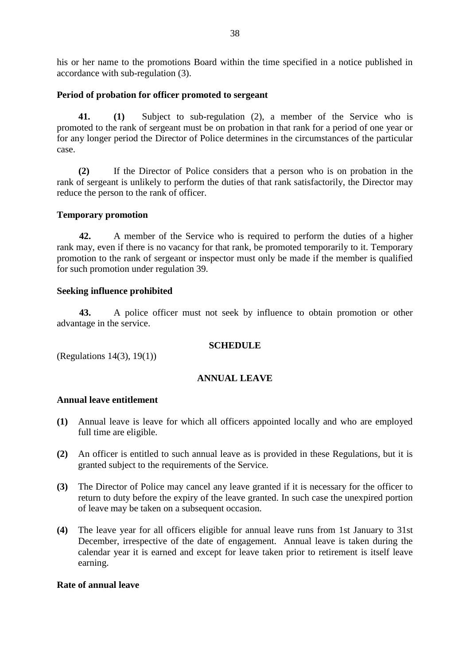his or her name to the promotions Board within the time specified in a notice published in accordance with sub-regulation (3).

## **Period of probation for officer promoted to sergeant**

**41. (1)** Subject to sub-regulation (2), a member of the Service who is promoted to the rank of sergeant must be on probation in that rank for a period of one year or for any longer period the Director of Police determines in the circumstances of the particular case.

**(2)** If the Director of Police considers that a person who is on probation in the rank of sergeant is unlikely to perform the duties of that rank satisfactorily, the Director may reduce the person to the rank of officer.

## **Temporary promotion**

**42.** A member of the Service who is required to perform the duties of a higher rank may, even if there is no vacancy for that rank, be promoted temporarily to it. Temporary promotion to the rank of sergeant or inspector must only be made if the member is qualified for such promotion under regulation 39.

# **Seeking influence prohibited**

**43.** A police officer must not seek by influence to obtain promotion or other advantage in the service.

## **SCHEDULE**

(Regulations 14(3), 19(1))

# **ANNUAL LEAVE**

## **Annual leave entitlement**

- **(1)** Annual leave is leave for which all officers appointed locally and who are employed full time are eligible.
- **(2)** An officer is entitled to such annual leave as is provided in these Regulations, but it is granted subject to the requirements of the Service.
- **(3)** The Director of Police may cancel any leave granted if it is necessary for the officer to return to duty before the expiry of the leave granted. In such case the unexpired portion of leave may be taken on a subsequent occasion.
- **(4)** The leave year for all officers eligible for annual leave runs from 1st January to 31st December, irrespective of the date of engagement. Annual leave is taken during the calendar year it is earned and except for leave taken prior to retirement is itself leave earning.

## **Rate of annual leave**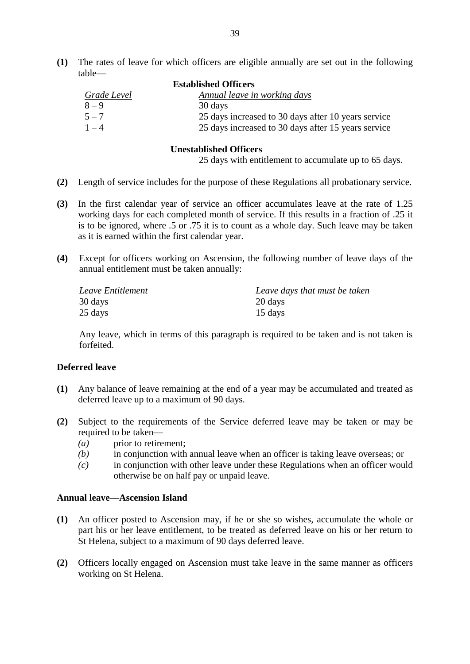**(1)** The rates of leave for which officers are eligible annually are set out in the following table—

| <b>Established Officers</b> |                                                     |
|-----------------------------|-----------------------------------------------------|
| Grade Level                 | Annual leave in working days                        |
| $8 - 9$                     | 30 days                                             |
| $5 - 7$                     | 25 days increased to 30 days after 10 years service |
| $1 - 4$                     | 25 days increased to 30 days after 15 years service |

#### **Unestablished Officers**

25 days with entitlement to accumulate up to 65 days.

- **(2)** Length of service includes for the purpose of these Regulations all probationary service.
- **(3)** In the first calendar year of service an officer accumulates leave at the rate of 1.25 working days for each completed month of service. If this results in a fraction of .25 it is to be ignored, where .5 or .75 it is to count as a whole day. Such leave may be taken as it is earned within the first calendar year.
- **(4)** Except for officers working on Ascension, the following number of leave days of the annual entitlement must be taken annually:

| Leave Entitlement | Leave days that must be taken |
|-------------------|-------------------------------|
| 30 days           | 20 days                       |
| 25 days           | 15 days                       |

Any leave, which in terms of this paragraph is required to be taken and is not taken is forfeited.

#### **Deferred leave**

- **(1)** Any balance of leave remaining at the end of a year may be accumulated and treated as deferred leave up to a maximum of 90 days.
- **(2)** Subject to the requirements of the Service deferred leave may be taken or may be required to be taken—
	- *(a)* prior to retirement;
	- *(b)* in conjunction with annual leave when an officer is taking leave overseas; or
	- *(c)* in conjunction with other leave under these Regulations when an officer would otherwise be on half pay or unpaid leave.

#### **Annual leave—Ascension Island**

- **(1)** An officer posted to Ascension may, if he or she so wishes, accumulate the whole or part his or her leave entitlement, to be treated as deferred leave on his or her return to St Helena, subject to a maximum of 90 days deferred leave.
- **(2)** Officers locally engaged on Ascension must take leave in the same manner as officers working on St Helena.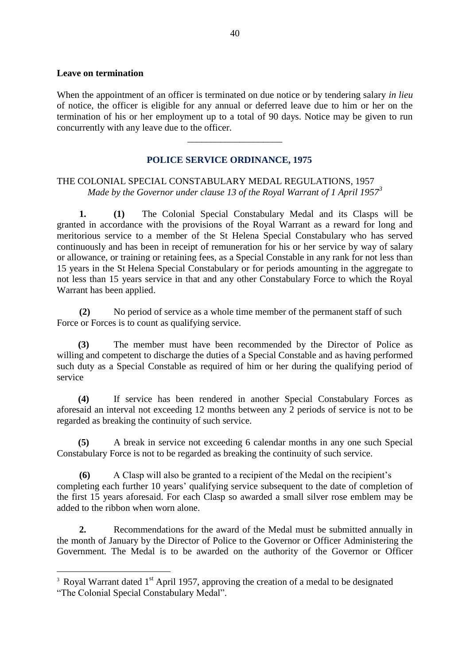#### **Leave on termination**

When the appointment of an officer is terminated on due notice or by tendering salary *in lieu* of notice, the officer is eligible for any annual or deferred leave due to him or her on the termination of his or her employment up to a total of 90 days. Notice may be given to run concurrently with any leave due to the officer.

\_\_\_\_\_\_\_\_\_\_\_\_\_\_\_\_\_\_\_\_

# **POLICE SERVICE ORDINANCE, 1975**

# THE COLONIAL SPECIAL CONSTABULARY MEDAL REGULATIONS, 1957 *Made by the Governor under clause 13 of the Royal Warrant of 1 April 1957<sup>3</sup>*

**1. (1)** The Colonial Special Constabulary Medal and its Clasps will be granted in accordance with the provisions of the Royal Warrant as a reward for long and meritorious service to a member of the St Helena Special Constabulary who has served continuously and has been in receipt of remuneration for his or her service by way of salary or allowance, or training or retaining fees, as a Special Constable in any rank for not less than 15 years in the St Helena Special Constabulary or for periods amounting in the aggregate to not less than 15 years service in that and any other Constabulary Force to which the Royal Warrant has been applied.

**(2)** No period of service as a whole time member of the permanent staff of such Force or Forces is to count as qualifying service.

 **(3)** The member must have been recommended by the Director of Police as willing and competent to discharge the duties of a Special Constable and as having performed such duty as a Special Constable as required of him or her during the qualifying period of service

 **(4)** If service has been rendered in another Special Constabulary Forces as aforesaid an interval not exceeding 12 months between any 2 periods of service is not to be regarded as breaking the continuity of such service.

**(5)** A break in service not exceeding 6 calendar months in any one such Special Constabulary Force is not to be regarded as breaking the continuity of such service.

**(6)** A Clasp will also be granted to a recipient of the Medal on the recipient's completing each further 10 years' qualifying service subsequent to the date of completion of the first 15 years aforesaid. For each Clasp so awarded a small silver rose emblem may be added to the ribbon when worn alone.

**2.** Recommendations for the award of the Medal must be submitted annually in the month of January by the Director of Police to the Governor or Officer Administering the Government. The Medal is to be awarded on the authority of the Governor or Officer

<u>.</u>

<sup>&</sup>lt;sup>3</sup> Royal Warrant dated  $1<sup>st</sup>$  April 1957, approving the creation of a medal to be designated

<sup>&</sup>quot;The Colonial Special Constabulary Medal".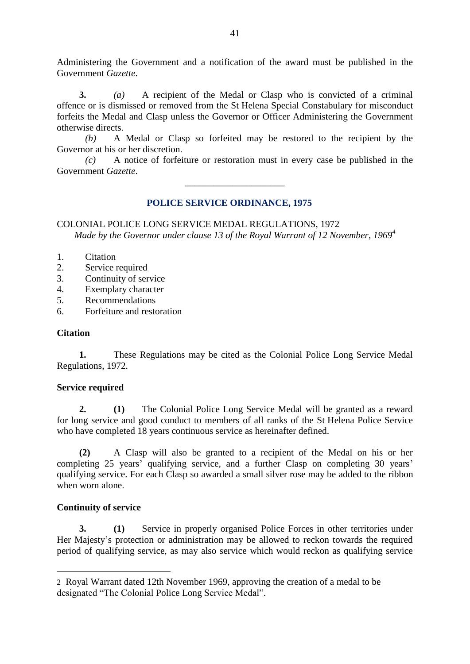Administering the Government and a notification of the award must be published in the Government *Gazette*.

**3.** *(a)* A recipient of the Medal or Clasp who is convicted of a criminal offence or is dismissed or removed from the St Helena Special Constabulary for misconduct forfeits the Medal and Clasp unless the Governor or Officer Administering the Government otherwise directs.

*(b)* A Medal or Clasp so forfeited may be restored to the recipient by the Governor at his or her discretion.

*(c)* A notice of forfeiture or restoration must in every case be published in the Government *Gazette*.

\_\_\_\_\_\_\_\_\_\_\_\_\_\_\_\_\_\_\_\_\_

# **POLICE SERVICE ORDINANCE, 1975**

COLONIAL POLICE LONG SERVICE MEDAL REGULATIONS, 1972 *Made by the Governor under clause 13 of the Royal Warrant of 12 November, 1969<sup>4</sup>*

- 1. Citation
- 2. Service required
- 3. Continuity of service
- 4. Exemplary character
- 5. Recommendations
- 6. Forfeiture and restoration

#### **Citation**

**1.** These Regulations may be cited as the Colonial Police Long Service Medal Regulations, 1972.

#### **Service required**

**2. (1)** The Colonial Police Long Service Medal will be granted as a reward for long service and good conduct to members of all ranks of the St Helena Police Service who have completed 18 years continuous service as hereinafter defined.

**(2)** A Clasp will also be granted to a recipient of the Medal on his or her completing 25 years' qualifying service, and a further Clasp on completing 30 years' qualifying service. For each Clasp so awarded a small silver rose may be added to the ribbon when worn alone.

#### **Continuity of service**

<u>.</u>

**3. (1)** Service in properly organised Police Forces in other territories under Her Majesty's protection or administration may be allowed to reckon towards the required period of qualifying service, as may also service which would reckon as qualifying service

<sup>2</sup> Royal Warrant dated 12th November 1969, approving the creation of a medal to be designated "The Colonial Police Long Service Medal".